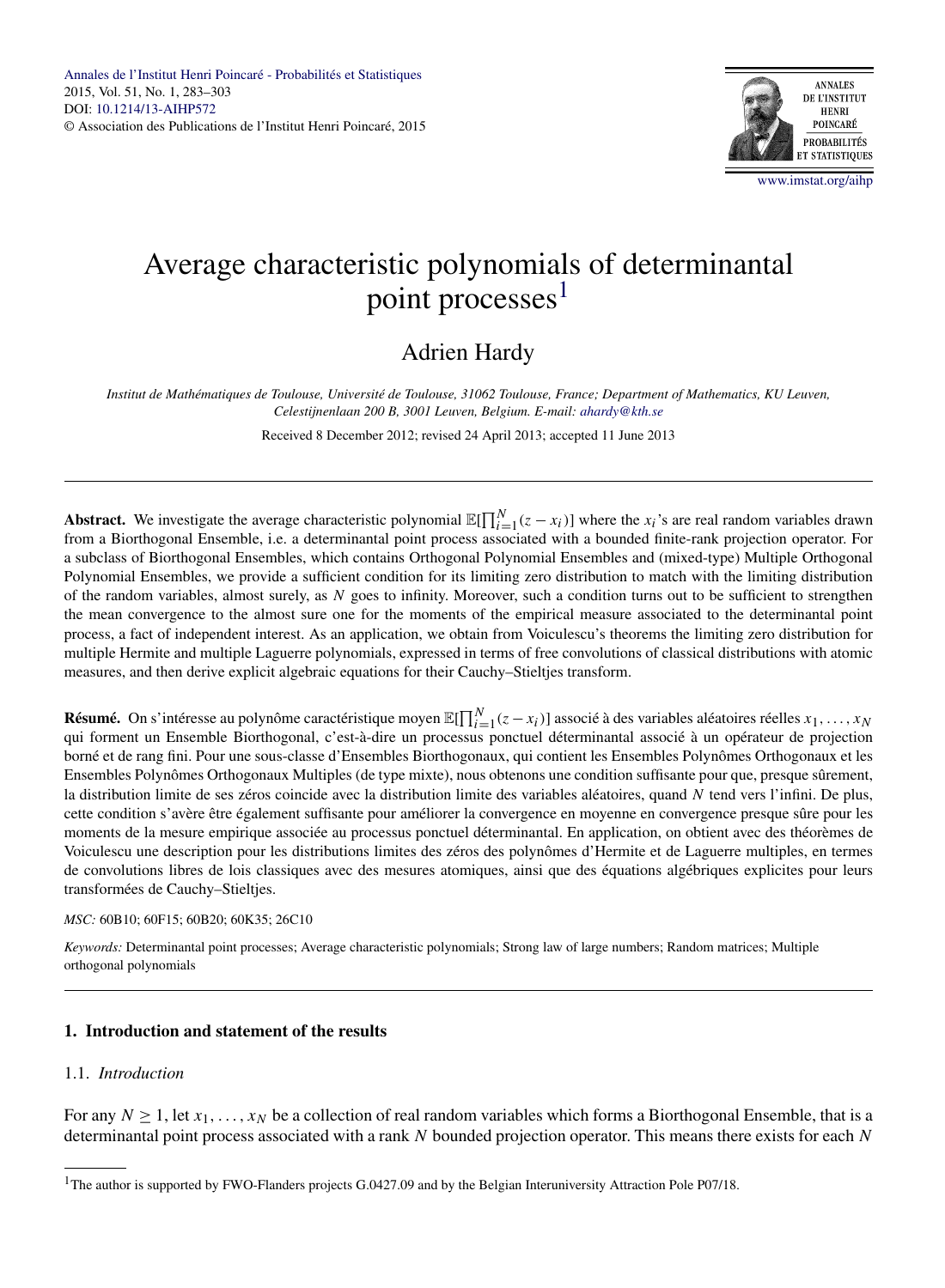

# Average characteristic polynomials of determinantal point processes<sup>1</sup>

# Adrien Hardy

*Institut de Mathématiques de Toulouse, Université de Toulouse, 31062 Toulouse, France; Department of Mathematics, KU Leuven, Celestijnenlaan 200 B, 3001 Leuven, Belgium. E-mail: [ahardy@kth.se](mailto:ahardy@kth.se)*

Received 8 December 2012; revised 24 April 2013; accepted 11 June 2013

**Abstract.** We investigate the average characteristic polynomial  $\mathbb{E}[\prod_{i=1}^{N}(z - x_i)]$  where the  $x_i$ 's are real random variables drawn from a Biorthogonal Ensemble, i.e. a determinantal point process associated with a bounded finite-rank projection operator. For a subclass of Biorthogonal Ensembles, which contains Orthogonal Polynomial Ensembles and (mixed-type) Multiple Orthogonal Polynomial Ensembles, we provide a sufficient condition for its limiting zero distribution to match with the limiting distribution of the random variables, almost surely, as *N* goes to infinity. Moreover, such a condition turns out to be sufficient to strengthen the mean convergence to the almost sure one for the moments of the empirical measure associated to the determinantal point process, a fact of independent interest. As an application, we obtain from Voiculescu's theorems the limiting zero distribution for multiple Hermite and multiple Laguerre polynomials, expressed in terms of free convolutions of classical distributions with atomic measures, and then derive explicit algebraic equations for their Cauchy–Stieltjes transform.

**Résumé.** On s'intéresse au polynôme caractéristique moyen  $\mathbb{E}[\prod_{i=1}^{N}(z-x_i)]$  associé à des variables aléatoires réelles  $x_1,...,x_N$ qui forment un Ensemble Biorthogonal, c'est-à-dire un processus ponctuel déterminantal associé à un opérateur de projection borné et de rang fini. Pour une sous-classe d'Ensembles Biorthogonaux, qui contient les Ensembles Polynômes Orthogonaux et les Ensembles Polynômes Orthogonaux Multiples (de type mixte), nous obtenons une condition suffisante pour que, presque sûrement, la distribution limite de ses zéros coincide avec la distribution limite des variables aléatoires, quand *N* tend vers l'infini. De plus, cette condition s'avère être également suffisante pour améliorer la convergence en moyenne en convergence presque sûre pour les moments de la mesure empirique associée au processus ponctuel déterminantal. En application, on obtient avec des théorèmes de Voiculescu une description pour les distributions limites des zéros des polynômes d'Hermite et de Laguerre multiples, en termes de convolutions libres de lois classiques avec des mesures atomiques, ainsi que des équations algébriques explicites pour leurs transformées de Cauchy–Stieltjes.

#### *MSC:* 60B10; 60F15; 60B20; 60K35; 26C10

*Keywords:* Determinantal point processes; Average characteristic polynomials; Strong law of large numbers; Random matrices; Multiple orthogonal polynomials

# **1. Introduction and statement of the results**

# 1.1. *Introduction*

For any  $N \ge 1$ , let  $x_1, \ldots, x_N$  be a collection of real random variables which forms a Biorthogonal Ensemble, that is a determinantal point process associated with a rank *N* bounded projection operator. This means there exists for each *N*

<sup>&</sup>lt;sup>1</sup>The author is supported by FWO-Flanders projects G.0427.09 and by the Belgian Interuniversity Attraction Pole P07/18.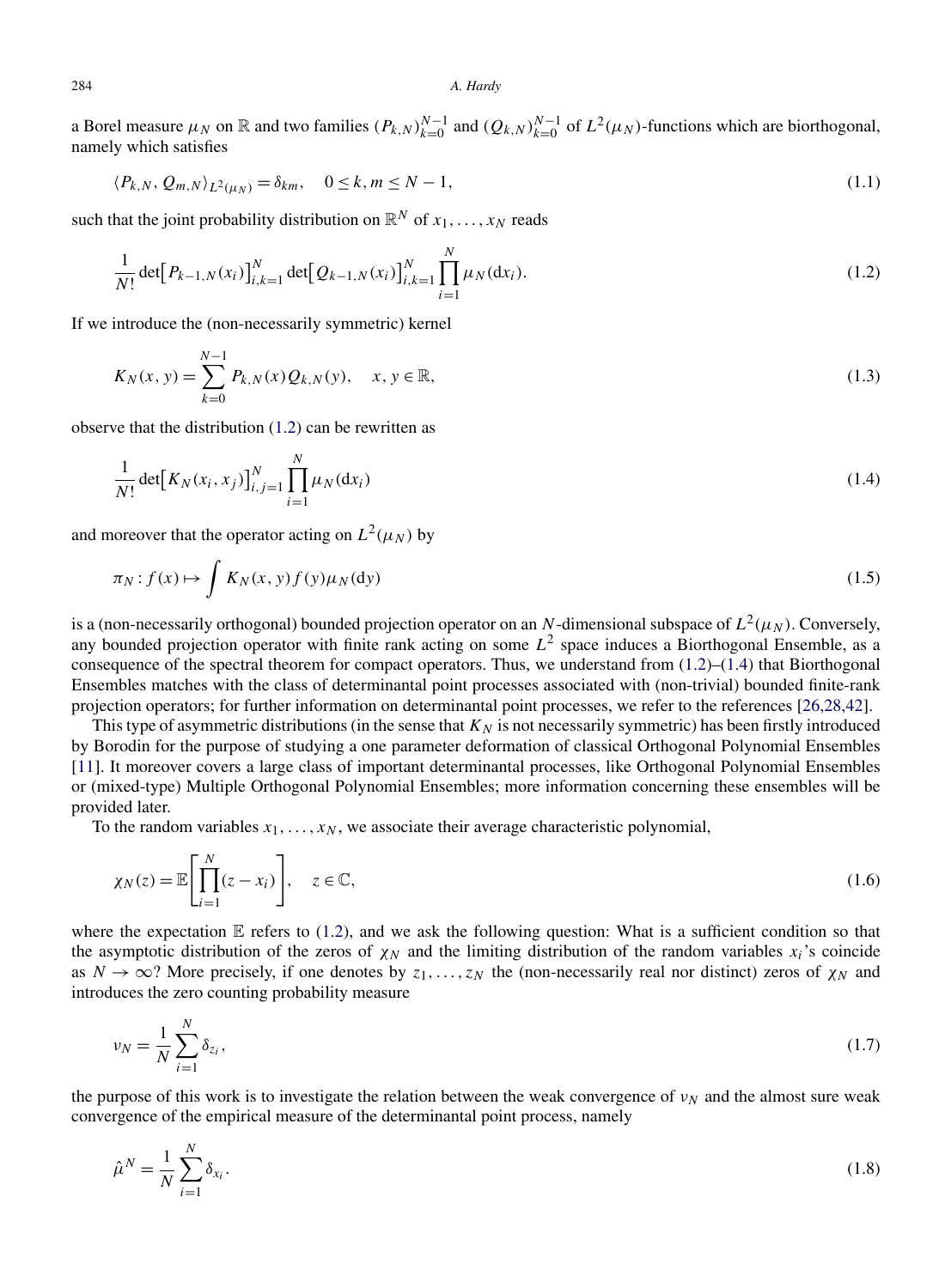<span id="page-1-0"></span>a Borel measure  $\mu_N$  on  $\mathbb R$  and two families  $(P_{k,N})_{k=0}^{N-1}$  and  $(Q_{k,N})_{k=0}^{N-1}$  of  $L^2(\mu_N)$ -functions which are biorthogonal, namely which satisfies

$$
\langle P_{k,N}, Q_{m,N} \rangle_{L^2(\mu_N)} = \delta_{km}, \quad 0 \le k, m \le N - 1,
$$
\n(1.1)

such that the joint probability distribution on  $\mathbb{R}^N$  of  $x_1, \ldots, x_N$  reads

$$
\frac{1}{N!} \det [P_{k-1,N}(x_i)]_{i,k=1}^N \det [Q_{k-1,N}(x_i)]_{i,k=1}^N \prod_{i=1}^N \mu_N(\mathrm{d}x_i).
$$
\n(1.2)

If we introduce the (non-necessarily symmetric) kernel

$$
K_N(x, y) = \sum_{k=0}^{N-1} P_{k,N}(x) Q_{k,N}(y), \quad x, y \in \mathbb{R},
$$
\n(1.3)

observe that the distribution (1.2) can be rewritten as

$$
\frac{1}{N!} \det [K_N(x_i, x_j)]_{i,j=1}^N \prod_{i=1}^N \mu_N(\mathrm{d}x_i)
$$
\n(1.4)

and moreover that the operator acting on  $L^2(\mu_N)$  by

$$
\pi_N: f(x) \mapsto \int K_N(x, y) f(y) \mu_N(dy)
$$
\n(1.5)

is a (non-necessarily orthogonal) bounded projection operator on an *N*-dimensional subspace of  $L^2(\mu_N)$ . Conversely, any bounded projection operator with finite rank acting on some *L*<sup>2</sup> space induces a Biorthogonal Ensemble, as a consequence of the spectral theorem for compact operators. Thus, we understand from  $(1.2)$ – $(1.4)$  that Biorthogonal Ensembles matches with the class of determinantal point processes associated with (non-trivial) bounded finite-rank projection operators; for further information on determinantal point processes, we refer to the references [\[26,28,42\]](#page-19-0).

This type of asymmetric distributions (in the sense that  $K_N$  is not necessarily symmetric) has been firstly introduced by Borodin for the purpose of studying a one parameter deformation of classical Orthogonal Polynomial Ensembles [\[11\]](#page-19-0). It moreover covers a large class of important determinantal processes, like Orthogonal Polynomial Ensembles or (mixed-type) Multiple Orthogonal Polynomial Ensembles; more information concerning these ensembles will be provided later.

To the random variables  $x_1, \ldots, x_N$ , we associate their average characteristic polynomial,

$$
\chi_N(z) = \mathbb{E}\left[\prod_{i=1}^N (z - x_i)\right], \quad z \in \mathbb{C},\tag{1.6}
$$

where the expectation  $E$  refers to (1.2), and we ask the following question: What is a sufficient condition so that the asymptotic distribution of the zeros of  $\chi_N$  and the limiting distribution of the random variables  $x_i$ 's coincide as  $N \to \infty$ ? More precisely, if one denotes by  $z_1, \ldots, z_N$  the (non-necessarily real nor distinct) zeros of  $\chi_N$  and introduces the zero counting probability measure

$$
\nu_N = \frac{1}{N} \sum_{i=1}^N \delta_{z_i},\tag{1.7}
$$

the purpose of this work is to investigate the relation between the weak convergence of  $v<sub>N</sub>$  and the almost sure weak convergence of the empirical measure of the determinantal point process, namely

$$
\hat{\mu}^N = \frac{1}{N} \sum_{i=1}^N \delta_{x_i}.\tag{1.8}
$$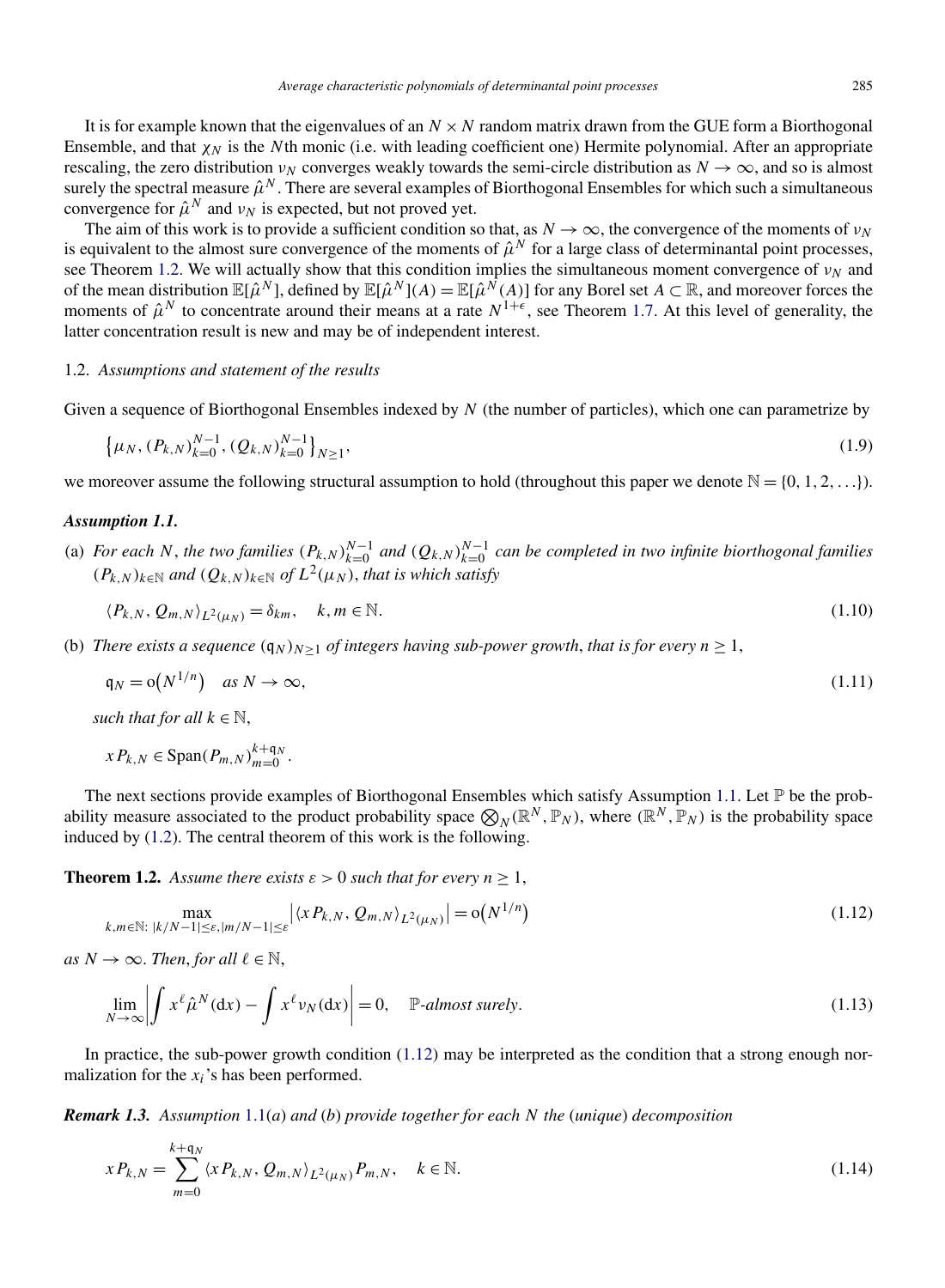<span id="page-2-0"></span>It is for example known that the eigenvalues of an  $N \times N$  random matrix drawn from the GUE form a Biorthogonal

Ensemble, and that *χ<sub>N</sub>* is the *N*th monic (i.e. with leading coefficient one) Hermite polynomial. After an appropriate rescaling, the zero distribution *v<sub>N</sub>* converges weakly towards the semi-circle distribution as  $N \to \infty$ , and so is almost surely the spectral measure  $\hat{\mu}^N$ . There are several examples of Biorthogonal Ensembles for which such a simultaneous convergence for  $\hat{\mu}^N$  and  $\nu_N$  is expected, but not proved yet.

The aim of this work is to provide a sufficient condition so that, as  $N \to \infty$ , the convergence of the moments of  $\nu_N$ is equivalent to the almost sure convergence of the moments of  $\hat{\mu}^N$  for a large class of determinantal point processes, see Theorem 1.2. We will actually show that this condition implies the simultaneous moment convergence of *ν<sub>N</sub>* and of the mean distribution  $\mathbb{E}[\hat{\mu}^N]$ , defined by  $\mathbb{E}[\hat{\mu}^N](A) = \mathbb{E}[\hat{\mu}^N(A)]$  for any Borel set  $A \subset \mathbb{R}$ , and moreover forces the moments of  $\hat{\mu}^N$  to concentrate around their means at a rate  $N^{1+\epsilon}$ , see Theorem [1.7.](#page-3-0) At this level of generality, the latter concentration result is new and may be of independent interest.

# 1.2. *Assumptions and statement of the results*

Given a sequence of Biorthogonal Ensembles indexed by *N* (the number of particles), which one can parametrize by

$$
\{\mu_N, (P_{k,N})_{k=0}^{N-1}, (Q_{k,N})_{k=0}^{N-1}\}_{N\geq 1},
$$
\n(1.9)

we moreover assume the following structural assumption to hold (throughout this paper we denote  $\mathbb{N} = \{0, 1, 2, ...\}$ ).

#### *Assumption 1.1.*

(a) For each N, the two families  $(P_{k,N})_{k=0}^{N-1}$  and  $(Q_{k,N})_{k=0}^{N-1}$  can be completed in two infinite biorthogonal families  $(P_k|N)_{k∈\mathbb{N}}$  *and*  $(Q_{k,N})_{k∈\mathbb{N}}$  *of*  $L^2(\mu_N)$ *, that is which satisfy* 

$$
\langle P_{k,N}, Q_{m,N} \rangle_{L^2(\mu_N)} = \delta_{km}, \quad k, m \in \mathbb{N}.
$$
 (1.10)

(b) *There exists a sequence*  $(q_N)_{N>1}$  *of integers having sub-power growth, that is for every*  $n \geq 1$ ,

$$
\mathfrak{q}_N = \mathfrak{o}(N^{1/n}) \quad \text{as } N \to \infty,\tag{1.11}
$$

*such that for all*  $k \in \mathbb{N}$ ,

 $x P_{k,N} \in \text{Span}(P_{m,N})_{m=0}^{k+q_N}$ .

The next sections provide examples of Biorthogonal Ensembles which satisfy Assumption 1.1. Let  $\mathbb P$  be the probability measure associated to the product probability space  $\mathcal{D}_N(\mathbb{R}^N, \mathbb{P}_N)$ , where  $(\mathbb{R}^N, \mathbb{P}_N)$  is the probability space induced by [\(1.2\)](#page-1-0). The central theorem of this work is the following.

**Theorem 1.2.** *Assume there exists*  $\varepsilon > 0$  *such that for every*  $n \ge 1$ ,

$$
\max_{k,m \in \mathbb{N}: \ |k/N - 1| \le \varepsilon, |m/N - 1| \le \varepsilon} |\langle x P_{k,N}, Q_{m,N} \rangle_{L^2(\mu_N)}| = o(N^{1/n})
$$
\n(1.12)

*as*  $N \to \infty$ *. Then, for all*  $\ell \in \mathbb{N}$ *,* 

$$
\lim_{N \to \infty} \left| \int x^{\ell} \hat{\mu}^N(\mathrm{d}x) - \int x^{\ell} \nu_N(\mathrm{d}x) \right| = 0, \quad \mathbb{P}\text{-almost surely.}
$$
\n(1.13)

In practice, the sub-power growth condition (1.12) may be interpreted as the condition that a strong enough normalization for the *xi*'s has been performed.

*Remark 1.3. Assumption* 1.1(*a*) *and* (*b*) *provide together for each N the* (*unique*) *decomposition*

$$
x P_{k,N} = \sum_{m=0}^{k+q_N} \langle x P_{k,N}, Q_{m,N} \rangle_{L^2(\mu_N)} P_{m,N}, \quad k \in \mathbb{N}.
$$
\n(1.14)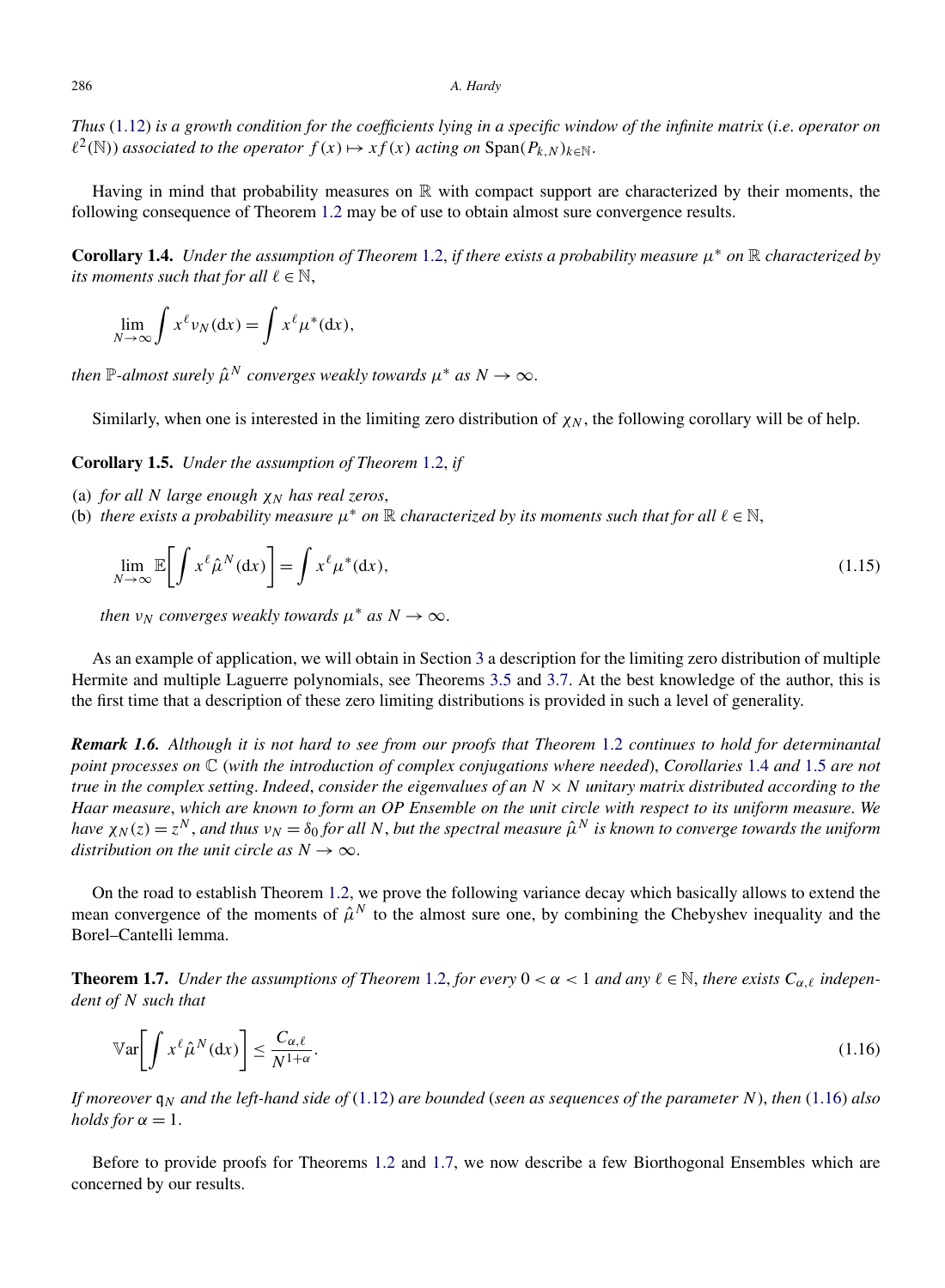<span id="page-3-0"></span>*Thus* [\(1.12\)](#page-2-0) *is a growth condition for the coefficients lying in a specific window of the infinite matrix* (*i*.*e*. *operator on*  $l^2(\mathbb{N})$  *associated to the operator*  $f(x) \mapsto xf(x)$  *acting on*  $\text{Span}(P_{k,N})_{k \in \mathbb{N}}$ .

Having in mind that probability measures on  $\mathbb R$  with compact support are characterized by their moments, the following consequence of Theorem [1.2](#page-2-0) may be of use to obtain almost sure convergence results.

**Corollary 1.4.** *Under the assumption of Theorem* [1.2,](#page-2-0) *if there exists a probability measure*  $\mu^*$  *on* R *characterized by its moments such that for all*  $\ell \in \mathbb{N}$ ,

$$
\lim_{N \to \infty} \int x^{\ell} \nu_N(\mathrm{d}x) = \int x^{\ell} \mu^*(\mathrm{d}x),
$$

*then*  $\mathbb{P}$ *-almost surely*  $\hat{\mu}^N$  *converges weakly towards*  $\mu^*$  *as*  $N \to \infty$ .

Similarly, when one is interested in the limiting zero distribution of  $\chi_N$ , the following corollary will be of help.

**Corollary 1.5.** *Under the assumption of Theorem* [1.2,](#page-2-0) *if*

- (a) *for all N large enough*  $\chi_N$  *has real zeros*,
- (b) *there exists a probability measure*  $\mu^*$  *on*  $\mathbb R$  *characterized by its moments such that for all*  $\ell \in \mathbb N$ ,

$$
\lim_{N \to \infty} \mathbb{E} \bigg[ \int x^{\ell} \hat{\mu}^N(\mathrm{d}x) \bigg] = \int x^{\ell} \mu^*(\mathrm{d}x), \tag{1.15}
$$

*then*  $v_N$  *converges weakly towards*  $\mu^*$  *as*  $N \to \infty$ .

As an example of application, we will obtain in Section [3](#page-11-0) a description for the limiting zero distribution of multiple Hermite and multiple Laguerre polynomials, see Theorems [3.5](#page-14-0) and [3.7.](#page-15-0) At the best knowledge of the author, this is the first time that a description of these zero limiting distributions is provided in such a level of generality.

*Remark 1.6. Although it is not hard to see from our proofs that Theorem* [1.2](#page-2-0) *continues to hold for determinantal point processes on* C (*with the introduction of complex conjugations where needed*), *Corollaries* 1.4 *and* 1.5 *are not true in the complex setting. Indeed, consider the eigenvalues of an*  $N \times N$  *unitary matrix distributed according to the Haar measure*, *which are known to form an OP Ensemble on the unit circle with respect to its uniform measure*. *We have*  $\chi_N(z) = z^N$ , and thus  $\nu_N = \delta_0$  *for all N*, *but the spectral measure*  $\hat{\mu}^N$  *is known to converge towards the uniform distribution on the unit circle as*  $N \rightarrow \infty$ .

On the road to establish Theorem [1.2,](#page-2-0) we prove the following variance decay which basically allows to extend the mean convergence of the moments of  $\hat{\mu}^N$  to the almost sure one, by combining the Chebyshev inequality and the Borel–Cantelli lemma.

**Theorem 1.7.** *Under the assumptions of Theorem [1.2,](#page-2-0) for every*  $0 < \alpha < 1$  *and any*  $\ell \in \mathbb{N}$ *, there exists*  $C_{\alpha,\ell}$  *independent of N such that*

$$
\mathbb{V}\text{ar}\bigg[\int x^{\ell}\hat{\mu}^{N}(\mathrm{d}x)\bigg] \leq \frac{C_{\alpha,\ell}}{N^{1+\alpha}}.\tag{1.16}
$$

*If moreover* q*<sup>N</sup> and the left-hand side of* [\(1.12\)](#page-2-0) *are bounded* (*seen as sequences of the parameter N*), *then* (1.16) *also holds for*  $\alpha = 1$ .

Before to provide proofs for Theorems [1.2](#page-2-0) and 1.7, we now describe a few Biorthogonal Ensembles which are concerned by our results.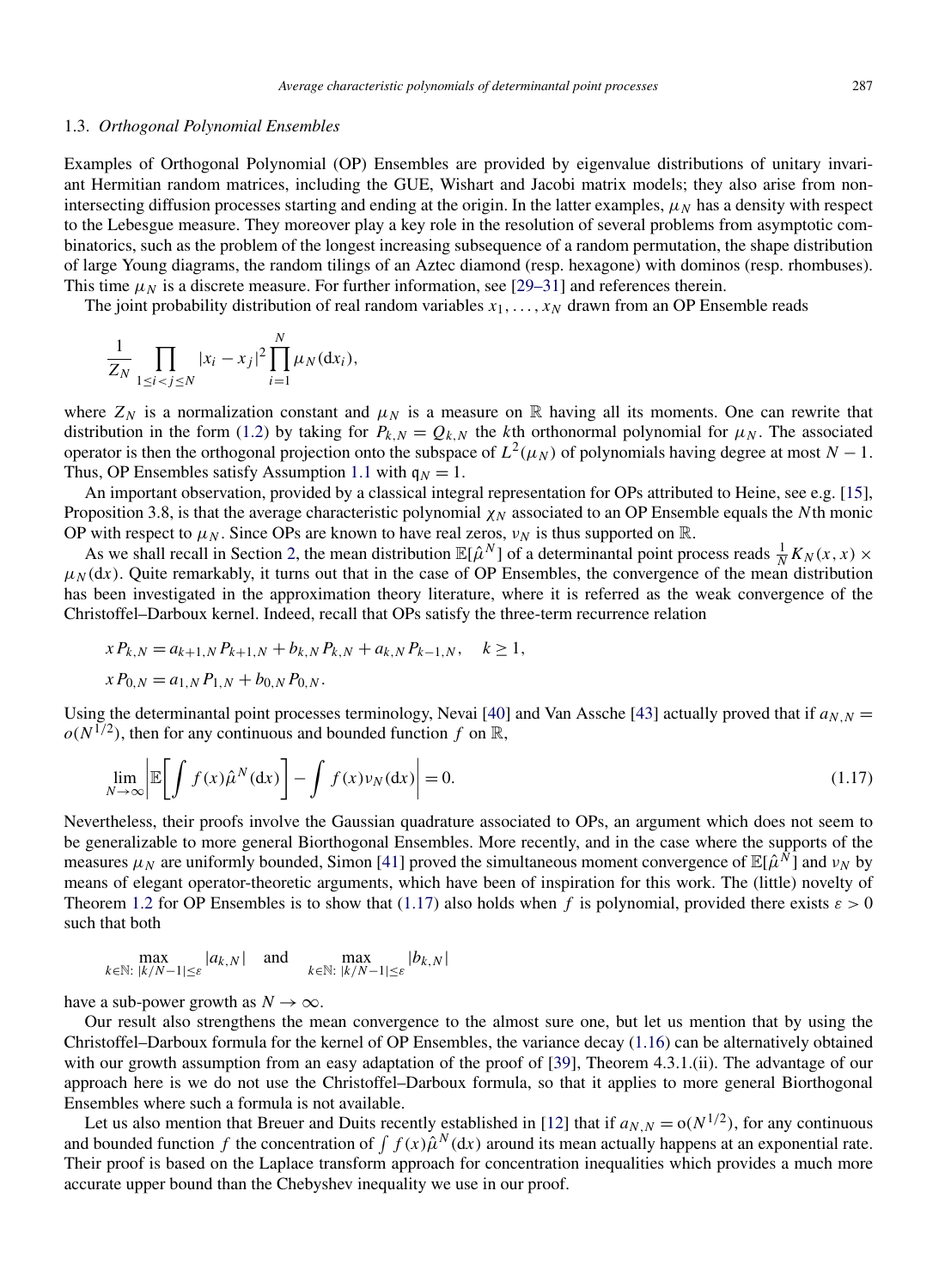#### 1.3. *Orthogonal Polynomial Ensembles*

Examples of Orthogonal Polynomial (OP) Ensembles are provided by eigenvalue distributions of unitary invariant Hermitian random matrices, including the GUE, Wishart and Jacobi matrix models; they also arise from nonintersecting diffusion processes starting and ending at the origin. In the latter examples,  $\mu_N$  has a density with respect to the Lebesgue measure. They moreover play a key role in the resolution of several problems from asymptotic combinatorics, such as the problem of the longest increasing subsequence of a random permutation, the shape distribution of large Young diagrams, the random tilings of an Aztec diamond (resp. hexagone) with dominos (resp. rhombuses). This time  $\mu_N$  is a discrete measure. For further information, see [\[29–31\]](#page-19-0) and references therein.

The joint probability distribution of real random variables  $x_1, \ldots, x_N$  drawn from an OP Ensemble reads

$$
\frac{1}{Z_N} \prod_{1 \le i < j \le N} |x_i - x_j|^2 \prod_{i=1}^N \mu_N(\mathrm{d} x_i),
$$

where  $Z_N$  is a normalization constant and  $\mu_N$  is a measure on R having all its moments. One can rewrite that distribution in the form [\(1.2\)](#page-1-0) by taking for  $P_{k,N} = Q_{k,N}$  the *k*th orthonormal polynomial for  $\mu_N$ . The associated operator is then the orthogonal projection onto the subspace of  $L^2(\mu_N)$  of polynomials having degree at most  $N-1$ . Thus, OP Ensembles satisfy Assumption [1.1](#page-2-0) with  $q_N = 1$ .

An important observation, provided by a classical integral representation for OPs attributed to Heine, see e.g. [\[15\]](#page-19-0), Proposition 3.8, is that the average characteristic polynomial  $\chi_N$  associated to an OP Ensemble equals the *N*th monic OP with respect to  $\mu_N$ . Since OPs are known to have real zeros,  $v_N$  is thus supported on R.

As we shall recall in Section [2,](#page-6-0) the mean distribution  $\mathbb{E}[\hat{\mu}^N]$  of a determinantal point process reads  $\frac{1}{N}K_N(x, x) \times$  $\mu<sub>N</sub>(dx)$ . Quite remarkably, it turns out that in the case of OP Ensembles, the convergence of the mean distribution has been investigated in the approximation theory literature, where it is referred as the weak convergence of the Christoffel–Darboux kernel. Indeed, recall that OPs satisfy the three-term recurrence relation

$$
x P_{k,N} = a_{k+1,N} P_{k+1,N} + b_{k,N} P_{k,N} + a_{k,N} P_{k-1,N}, \quad k \ge 1,
$$
  

$$
x P_{0,N} = a_{1,N} P_{1,N} + b_{0,N} P_{0,N}.
$$

Using the determinantal point processes terminology, Nevai [\[40\]](#page-20-0) and Van Assche [\[43\]](#page-20-0) actually proved that if  $a_{N,N}$  =  $o(N^{1/2})$ , then for any continuous and bounded function *f* on R,

$$
\lim_{N \to \infty} \left| \mathbb{E} \left[ \int f(x) \hat{\mu}^N(\mathrm{d}x) \right] - \int f(x) \nu_N(\mathrm{d}x) \right| = 0. \tag{1.17}
$$

Nevertheless, their proofs involve the Gaussian quadrature associated to OPs, an argument which does not seem to be generalizable to more general Biorthogonal Ensembles. More recently, and in the case where the supports of the measures  $\mu_N$  are uniformly bounded, Simon [\[41\]](#page-20-0) proved the simultaneous moment convergence of  $\mathbb{E}[\hat{\mu}^{\tilde{N}}]$  and  $\nu_N$  by means of elegant operator-theoretic arguments, which have been of inspiration for this work. The (little) novelty of Theorem [1.2](#page-2-0) for OP Ensembles is to show that (1.17) also holds when *f* is polynomial, provided there exists *ε >* 0 such that both

$$
\max_{k \in \mathbb{N}: \ |k/N-1| \leq \varepsilon} |a_{k,N}| \quad \text{and} \quad \max_{k \in \mathbb{N}: \ |k/N-1| \leq \varepsilon} |b_{k,N}|
$$

have a sub-power growth as  $N \to \infty$ .

Our result also strengthens the mean convergence to the almost sure one, but let us mention that by using the Christoffel–Darboux formula for the kernel of OP Ensembles, the variance decay [\(1.16\)](#page-3-0) can be alternatively obtained with our growth assumption from an easy adaptation of the proof of [\[39\]](#page-20-0), Theorem 4.3.1.(ii). The advantage of our approach here is we do not use the Christoffel–Darboux formula, so that it applies to more general Biorthogonal Ensembles where such a formula is not available.

Let us also mention that Breuer and Duits recently established in [\[12\]](#page-19-0) that if  $a_{N,N} = o(N^{1/2})$ , for any continuous and bounded function f the concentration of  $\int f(x) \hat{\mu}^N(dx)$  around its mean actually happens at an exponential rate. Their proof is based on the Laplace transform approach for concentration inequalities which provides a much more accurate upper bound than the Chebyshev inequality we use in our proof.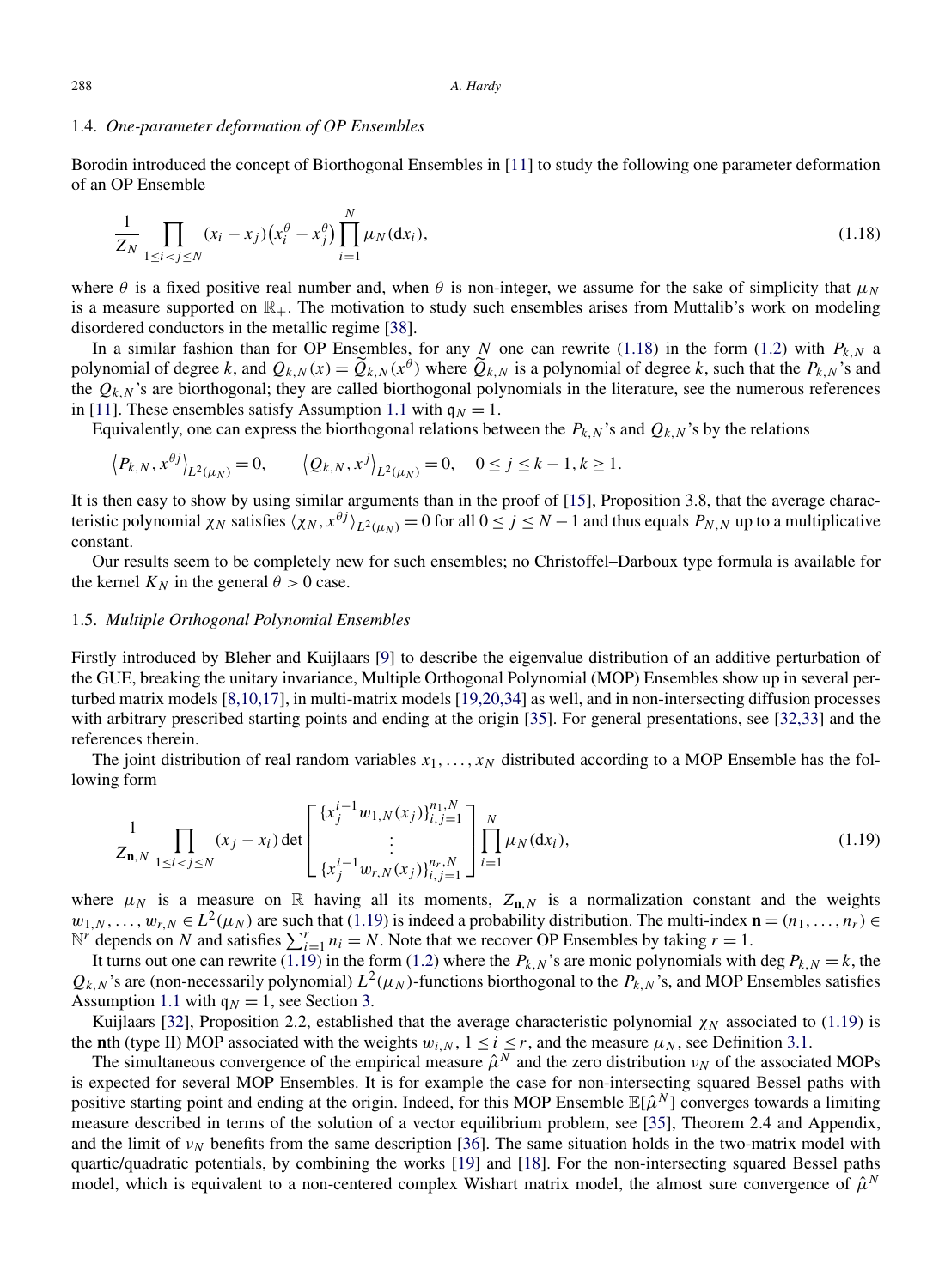#### <span id="page-5-0"></span>1.4. *One-parameter deformation of OP Ensembles*

Borodin introduced the concept of Biorthogonal Ensembles in [\[11\]](#page-19-0) to study the following one parameter deformation of an OP Ensemble

$$
\frac{1}{Z_N} \prod_{1 \le i < j \le N} (x_i - x_j) \left( x_i^{\theta} - x_j^{\theta} \right) \prod_{i=1}^N \mu_N(\mathrm{d}x_i),\tag{1.18}
$$

where  $\theta$  is a fixed positive real number and, when  $\theta$  is non-integer, we assume for the sake of simplicity that  $\mu_N$ is a measure supported on  $\mathbb{R}_+$ . The motivation to study such ensembles arises from Muttalib's work on modeling disordered conductors in the metallic regime [\[38\]](#page-20-0).

In a similar fashion than for OP Ensembles, for any *N* one can rewrite (1.18) in the form [\(1.2\)](#page-1-0) with  $P_{k,N}$  a polynomial of degree *k*, and  $Q_{k,N}(x) = \tilde{Q}_{k,N}(x^{\theta})$  where  $\tilde{Q}_{k,N}$  is a polynomial of degree *k*, such that the  $P_{k,N}$ 's and the  $Q_{k,N}$ 's are biorthogonal; they are called biorthogonal polynomials in the literature, see the numerous references in [\[11\]](#page-19-0). These ensembles satisfy Assumption [1.1](#page-2-0) with  $q_N = 1$ .

Equivalently, one can express the biorthogonal relations between the  $P_{k,N}$ 's and  $Q_{k,N}$ 's by the relations

$$
\left\langle P_{k,N}, x^{\theta j} \right\rangle_{L^2(\mu_N)} = 0, \qquad \left\langle Q_{k,N}, x^j \right\rangle_{L^2(\mu_N)} = 0, \quad 0 \le j \le k - 1, k \ge 1.
$$

*N*

It is then easy to show by using similar arguments than in the proof of [\[15\]](#page-19-0), Proposition 3.8, that the average characteristic polynomial  $\chi_N$  satisfies  $\langle \chi_N, x^{\theta j} \rangle_{L^2(\mu_N)} = 0$  for all  $0 \le j \le N-1$  and thus equals  $P_{N,N}$  up to a multiplicative constant.

Our results seem to be completely new for such ensembles; no Christoffel–Darboux type formula is available for the kernel  $K_N$  in the general  $\theta > 0$  case.

# 1.5. *Multiple Orthogonal Polynomial Ensembles*

Firstly introduced by Bleher and Kuijlaars [\[9\]](#page-19-0) to describe the eigenvalue distribution of an additive perturbation of the GUE, breaking the unitary invariance, Multiple Orthogonal Polynomial (MOP) Ensembles show up in several perturbed matrix models [\[8,10,17\]](#page-19-0), in multi-matrix models [\[19,20,34\]](#page-19-0) as well, and in non-intersecting diffusion processes with arbitrary prescribed starting points and ending at the origin [\[35\]](#page-20-0). For general presentations, see [\[32,33\]](#page-19-0) and the references therein.

The joint distribution of real random variables  $x_1, \ldots, x_N$  distributed according to a MOP Ensemble has the following form

$$
\frac{1}{Z_{n,N}} \prod_{1 \le i < j \le N} (x_j - x_i) \det \begin{bmatrix} \{x_j^{i-1} w_{1,N}(x_j)\}_{i,j=1}^{n_1,N} \\ \vdots \\ \{x_j^{i-1} w_{r,N}(x_j)\}_{i,j=1}^{n_r,N} \end{bmatrix} \prod_{i=1}^N \mu_N(\mathrm{d}x_i), \tag{1.19}
$$

where  $\mu_N$  is a measure on R having all its moments,  $Z_{n,N}$  is a normalization constant and the weights  $w_{1,N},\ldots,w_{r,N}\in L^2(\mu_N)$  are such that (1.19) is indeed a probability distribution. The multi-index  $\mathbf{n}=(n_1,\ldots,n_r)\in$  $N^r$  depends on *N* and satisfies  $\sum_{i=1}^r n_i = N$ . Note that we recover OP Ensembles by taking  $r = 1$ .

It turns out one can rewrite (1.19) in the form [\(1.2\)](#page-1-0) where the  $P_{k,N}$ 's are monic polynomials with deg  $P_{k,N} = k$ , the  $Q_{k,N}$ 's are (non-necessarily polynomial)  $L^2(\mu_N)$ -functions biorthogonal to the  $P_{k,N}$ 's, and MOP Ensembles satisfies Assumption [1.1](#page-2-0) with  $q_N = 1$ , see Section [3.](#page-11-0)

Kuijlaars [\[32\]](#page-19-0), Proposition 2.2, established that the average characteristic polynomial  $\chi_N$  associated to (1.19) is the **n**th (type II) MOP associated with the weights  $w_{i,N}$ ,  $1 \le i \le r$ , and the measure  $\mu_N$ , see Definition [3.1.](#page-12-0)

The simultaneous convergence of the empirical measure  $\hat{\mu}^N$  and the zero distribution  $\nu_N$  of the associated MOPs is expected for several MOP Ensembles. It is for example the case for non-intersecting squared Bessel paths with positive starting point and ending at the origin. Indeed, for this MOP Ensemble  $\mathbb{E}[\hat{\mu}^N]$  converges towards a limiting measure described in terms of the solution of a vector equilibrium problem, see [\[35\]](#page-20-0), Theorem 2.4 and Appendix, and the limit of  $v<sub>N</sub>$  benefits from the same description [\[36\]](#page-20-0). The same situation holds in the two-matrix model with quartic/quadratic potentials, by combining the works [\[19\]](#page-19-0) and [\[18\]](#page-19-0). For the non-intersecting squared Bessel paths model, which is equivalent to a non-centered complex Wishart matrix model, the almost sure convergence of  $\hat{\mu}^N$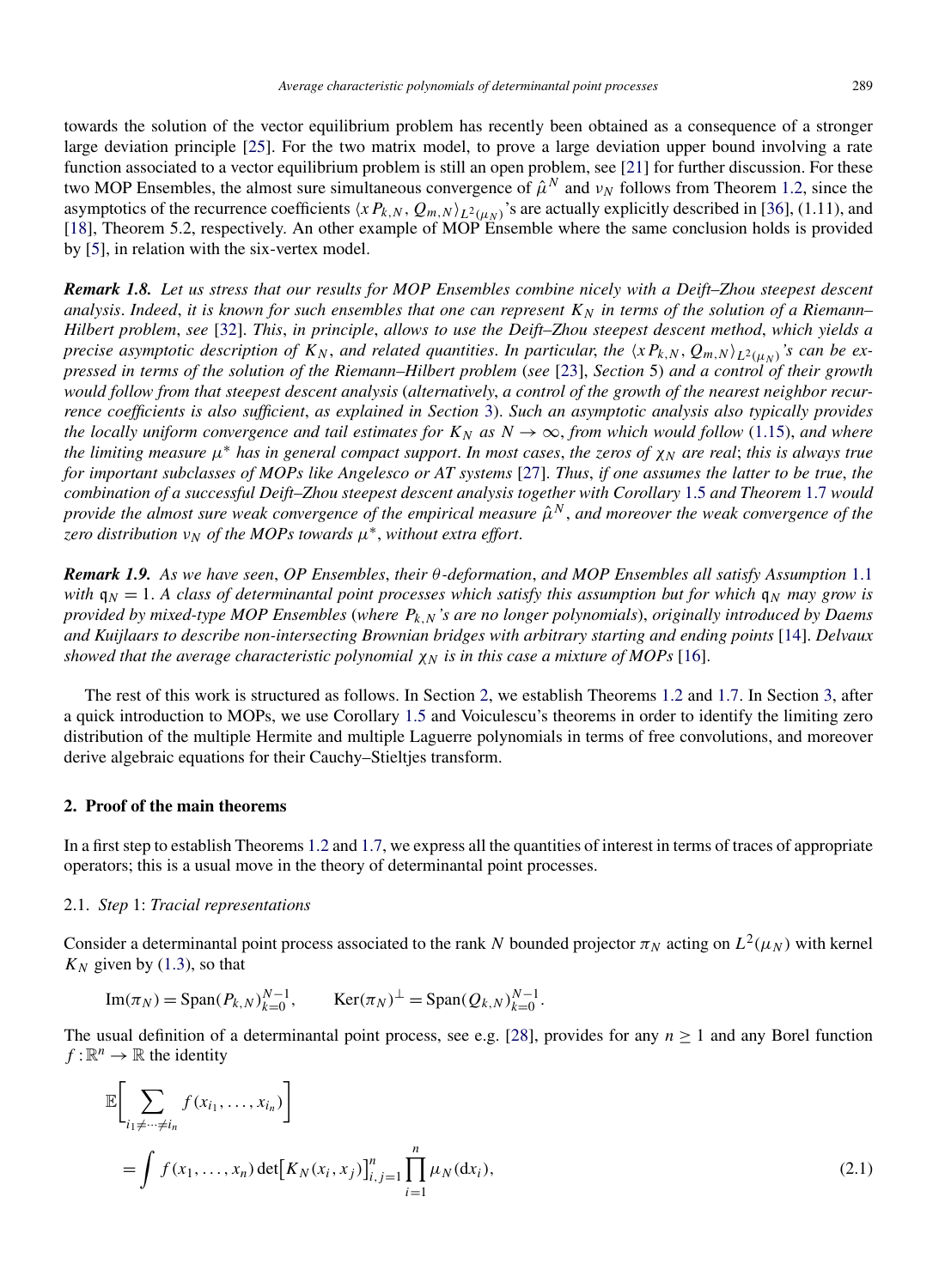<span id="page-6-0"></span>towards the solution of the vector equilibrium problem has recently been obtained as a consequence of a stronger large deviation principle [\[25\]](#page-19-0). For the two matrix model, to prove a large deviation upper bound involving a rate function associated to a vector equilibrium problem is still an open problem, see [\[21\]](#page-19-0) for further discussion. For these two MOP Ensembles, the almost sure simultaneous convergence of  $\hat{\mu}^N$  and  $\nu_N$  follows from Theorem [1.2,](#page-2-0) since the asymptotics of the recurrence coefficients  $\langle xP_{k,N}, Q_{m,N} \rangle_{L^2(\mu_N)}$ 's are actually explicitly described in [\[36\]](#page-20-0), (1.11), and [\[18\]](#page-19-0), Theorem 5.2, respectively. An other example of MOP Ensemble where the same conclusion holds is provided by [\[5\]](#page-19-0), in relation with the six-vertex model.

*Remark 1.8. Let us stress that our results for MOP Ensembles combine nicely with a Deift–Zhou steepest descent* analysis. Indeed, it is known for such ensembles that one can represent  $K_N$  in terms of the solution of a Riemann– *Hilbert problem*, *see* [\[32\]](#page-19-0). *This*, *in principle*, *allows to use the Deift–Zhou steepest descent method*, *which yields a precise asymptotic description of*  $K_N$ , and related quantities. In particular, the  $\langle x P_{k,N}, Q_{m,N} \rangle_{L^2(\mu_N)}$ 's can be ex*pressed in terms of the solution of the Riemann–Hilbert problem* (*see* [\[23\]](#page-19-0), *Section* 5) *and a control of their growth would follow from that steepest descent analysis* (*alternatively*, *a control of the growth of the nearest neighbor recurrence coefficients is also sufficient*, *as explained in Section* [3\)](#page-11-0). *Such an asymptotic analysis also typically provides the locally uniform convergence and tail estimates for*  $K_N$  *as*  $N \to \infty$ , *from which would follow* [\(1.15\)](#page-3-0), *and where the limiting measure*  $\mu^*$  *has in general compact support. In most cases, the zeros of*  $\chi_N$  *are real; this is always true for important subclasses of MOPs like Angelesco or AT systems* [\[27\]](#page-19-0). *Thus*, *if one assumes the latter to be true*, *the combination of a successful Deift–Zhou steepest descent analysis together with Corollary* [1.5](#page-3-0) *and Theorem* [1.7](#page-3-0) *would provide the almost sure weak convergence of the empirical measure*  $\hat{\mu}^N$ , and moreover the weak convergence of the *zero distribution*  $v_N$  *of the MOPs towards*  $\mu^*$ , *without extra effort.* 

*Remark 1.9. As we have seen*, *OP Ensembles*, *their θ -deformation*, *and MOP Ensembles all satisfy Assumption* [1.1](#page-2-0) *with*  $q_N = 1$ . *A class of determinantal point processes which satisfy this assumption but for which*  $q_N$  *may grow is provided by mixed-type MOP Ensembles* (*where Pk,N 's are no longer polynomials*), *originally introduced by Daems and Kuijlaars to describe non-intersecting Brownian bridges with arbitrary starting and ending points* [\[14\]](#page-19-0). *Delvaux showed that the average characteristic polynomial*  $\chi_N$  *is in this case a mixture of MOPs* [\[16\]](#page-19-0).

The rest of this work is structured as follows. In Section 2, we establish Theorems [1.2](#page-2-0) and [1.7.](#page-3-0) In Section [3,](#page-11-0) after a quick introduction to MOPs, we use Corollary [1.5](#page-3-0) and Voiculescu's theorems in order to identify the limiting zero distribution of the multiple Hermite and multiple Laguerre polynomials in terms of free convolutions, and moreover derive algebraic equations for their Cauchy–Stieltjes transform.

#### **2. Proof of the main theorems**

In a first step to establish Theorems [1.2](#page-2-0) and [1.7,](#page-3-0) we express all the quantities of interest in terms of traces of appropriate operators; this is a usual move in the theory of determinantal point processes.

#### 2.1. *Step* 1: *Tracial representations*

Consider a determinantal point process associated to the rank *N* bounded projector  $\pi_N$  acting on  $L^2(\mu_N)$  with kernel  $K_N$  given by [\(1.3\)](#page-1-0), so that

Im(
$$
\pi_N
$$
) = Span( $P_{k,N}$ ) <sub>$k=0$</sub>  <sup>$N-1$</sup> , Ker( $\pi_N$ ) <sup>$\perp$</sup>  = Span( $Q_{k,N}$ ) <sub>$k=0$</sub>  <sup>$N-1$</sup> .

The usual definition of a determinantal point process, see e.g. [\[28\]](#page-19-0), provides for any  $n \ge 1$  and any Borel function  $f:\mathbb{R}^n\to\mathbb{R}$  the identity

$$
\mathbb{E}\bigg[\sum_{i_1 \neq \dots \neq i_n} f(x_{i_1}, \dots, x_{i_n})\bigg]
$$
\n
$$
= \int f(x_1, \dots, x_n) \det[K_N(x_i, x_j)]_{i,j=1}^n \prod_{i=1}^n \mu_N(\mathrm{d}x_i), \tag{2.1}
$$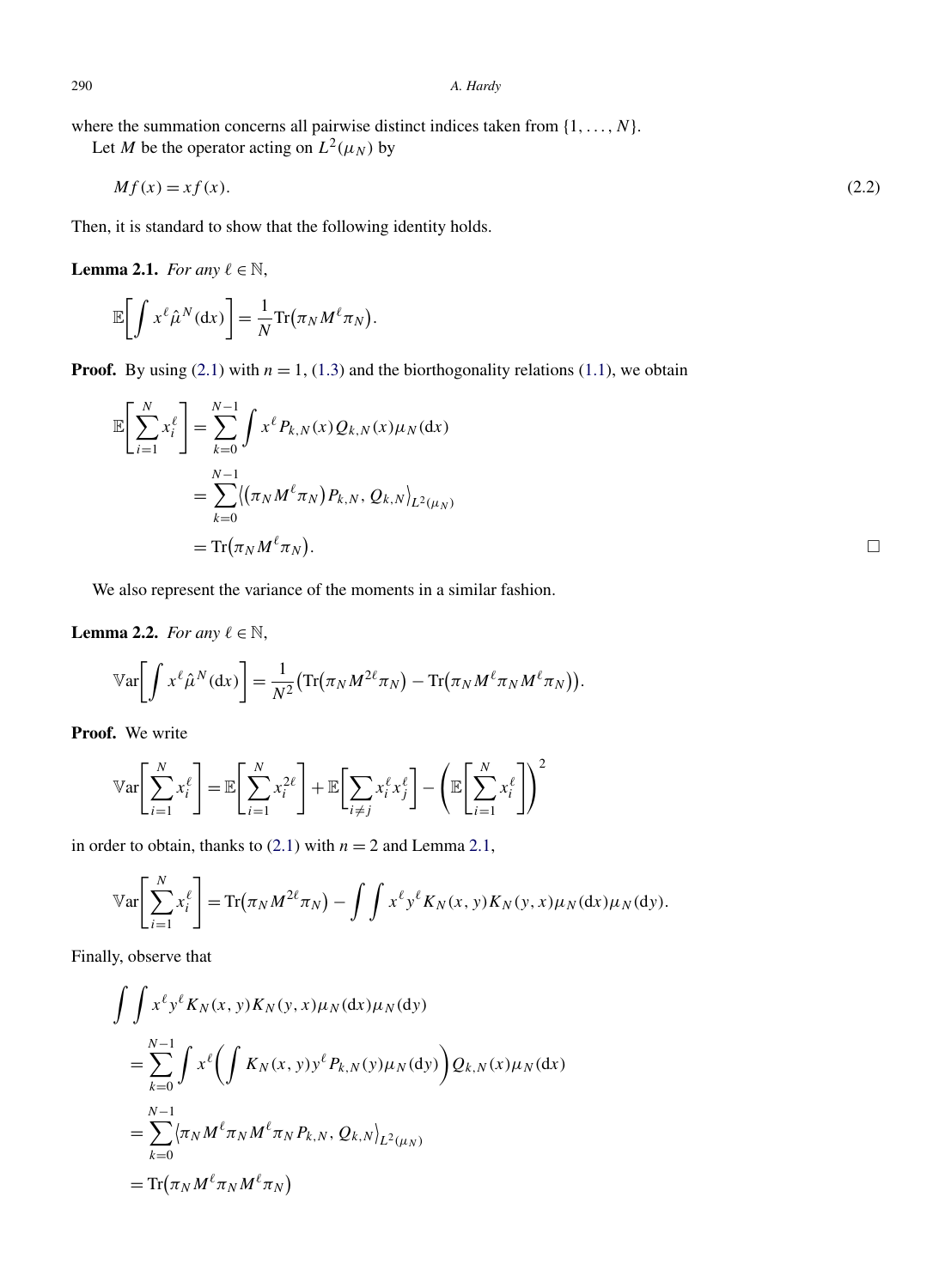<span id="page-7-0"></span>where the summation concerns all pairwise distinct indices taken from {1*,...,N*}.

Let *M* be the operator acting on  $L^2(\mu_N)$  by

$$
Mf(x) = xf(x). \tag{2.2}
$$

Then, it is standard to show that the following identity holds.

**Lemma 2.1.** *For any*  $\ell \in \mathbb{N}$ ,

$$
\mathbb{E}\bigg[\int x^{\ell}\hat{\mu}^N(\mathrm{d}x)\bigg]=\frac{1}{N}\mathrm{Tr}\big(\pi_N M^{\ell}\pi_N\big).
$$

**Proof.** By using [\(2.1\)](#page-6-0) with  $n = 1$ , [\(1.3\)](#page-1-0) and the biorthogonality relations [\(1.1\)](#page-1-0), we obtain

$$
\mathbb{E}\left[\sum_{i=1}^{N} x_i^{\ell}\right] = \sum_{k=0}^{N-1} \int x^{\ell} P_{k,N}(x) Q_{k,N}(x) \mu_N(\mathrm{d}x) \n= \sum_{k=0}^{N-1} \langle (\pi_N M^{\ell} \pi_N) P_{k,N}, Q_{k,N} \rangle_{L^2(\mu_N)} \n= \text{Tr}(\pi_N M^{\ell} \pi_N).
$$

We also represent the variance of the moments in a similar fashion.

**Lemma 2.2.** *For any*  $\ell \in \mathbb{N}$ ,

$$
\mathbb{V}\text{ar}\bigg[\int x^{\ell}\hat{\mu}^N(\mathrm{d}x)\bigg]=\frac{1}{N^2}\big(\text{Tr}(\pi_N M^{2\ell}\pi_N)-\text{Tr}(\pi_N M^{\ell}\pi_N M^{\ell}\pi_N)\big).
$$

**Proof.** We write

$$
\mathbb{V}\text{ar}\left[\sum_{i=1}^{N} x_i^{\ell}\right] = \mathbb{E}\left[\sum_{i=1}^{N} x_i^{2\ell}\right] + \mathbb{E}\left[\sum_{i \neq j} x_i^{\ell} x_j^{\ell}\right] - \left(\mathbb{E}\left[\sum_{i=1}^{N} x_i^{\ell}\right]\right)^2
$$

in order to obtain, thanks to  $(2.1)$  with  $n = 2$  and Lemma 2.1,

$$
\mathbb{V}\text{ar}\left[\sum_{i=1}^N x_i^{\ell}\right] = \text{Tr}\left(\pi_N M^{2\ell} \pi_N\right) - \int \int x^{\ell} y^{\ell} K_N(x, y) K_N(y, x) \mu_N(\mathrm{d}x) \mu_N(\mathrm{d}y).
$$

Finally, observe that

$$
\int \int x^{\ell} y^{\ell} K_N(x, y) K_N(y, x) \mu_N(\mathrm{d}x) \mu_N(\mathrm{d}y)
$$
\n=
$$
\sum_{k=0}^{N-1} \int x^{\ell} \left( \int K_N(x, y) y^{\ell} P_{k,N}(y) \mu_N(\mathrm{d}y) \right) Q_{k,N}(x) \mu_N(\mathrm{d}x)
$$
\n=
$$
\sum_{k=0}^{N-1} \langle \pi_N M^{\ell} \pi_N M^{\ell} \pi_N P_{k,N}, Q_{k,N} \rangle_{L^2(\mu_N)}
$$
\n=
$$
\text{Tr}(\pi_N M^{\ell} \pi_N M^{\ell} \pi_N)
$$

 $\Box$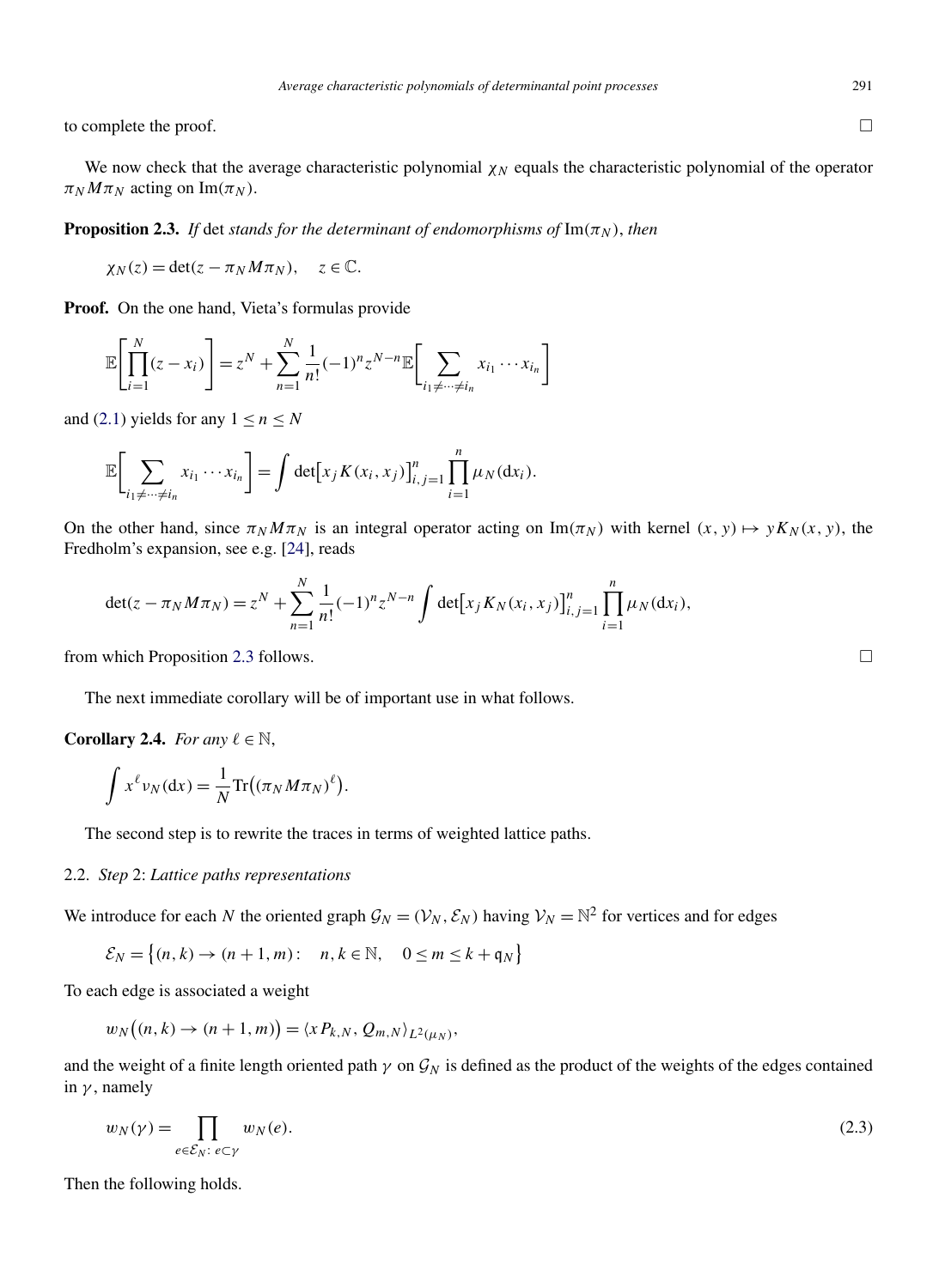<span id="page-8-0"></span>to complete the proof.

We now check that the average characteristic polynomial  $\chi_N$  equals the characteristic polynomial of the operator  $\pi_N M \pi_N$  acting on Im( $\pi_N$ ).

**Proposition 2.3.** *If* det *stands for the determinant of endomorphisms of*  $\text{Im}(\pi_N)$ *, then* 

 $\chi_N(z) = \det(z - \pi_N M \pi_N), \quad z \in \mathbb{C}.$ 

**Proof.** On the one hand, Vieta's formulas provide

 $\overline{a}$ 

$$
\mathbb{E}\left[\prod_{i=1}^N(z-x_i)\right] = z^N + \sum_{n=1}^N \frac{1}{n!}(-1)^n z^{N-n} \mathbb{E}\left[\sum_{i_1 \neq \dots \neq i_n} x_{i_1} \cdots x_{i_n}\right]
$$

and [\(2.1\)](#page-6-0) yields for any  $1 \le n \le N$ 

$$
\mathbb{E}\bigg[\sum_{i_1\neq\cdots\neq i_n}x_{i_1}\cdots x_{i_n}\bigg]=\int\det[x_jK(x_i,x_j)]_{i,j=1}^n\prod_{i=1}^n\mu_N(\mathrm{d}x_i).
$$

On the other hand, since  $\pi_N M \pi_N$  is an integral operator acting on Im $(\pi_N)$  with kernel  $(x, y) \mapsto y K_N(x, y)$ , the Fredholm's expansion, see e.g. [\[24\]](#page-19-0), reads

$$
\det(z - \pi_N M \pi_N) = z^N + \sum_{n=1}^N \frac{1}{n!} (-1)^n z^{N-n} \int \det[x_j K_N(x_i, x_j)]_{i,j=1}^n \prod_{i=1}^n \mu_N(\mathrm{d} x_i),
$$

from which Proposition 2.3 follows.  $\square$ 

The next immediate corollary will be of important use in what follows.

**Corollary 2.4.** *For any*  $\ell \in \mathbb{N}$ ,

$$
\int x^{\ell} \nu_N(\mathrm{d}x) = \frac{1}{N} \mathrm{Tr}((\pi_N M \pi_N)^{\ell}).
$$

The second step is to rewrite the traces in terms of weighted lattice paths.

# 2.2. *Step* 2: *Lattice paths representations*

We introduce for each *N* the oriented graph  $\mathcal{G}_N = (\mathcal{V}_N, \mathcal{E}_N)$  having  $\mathcal{V}_N = \mathbb{N}^2$  for vertices and for edges

$$
\mathcal{E}_N = \left\{ (n,k) \to (n+1,m) : \quad n,k \in \mathbb{N}, \quad 0 \le m \le k + \mathfrak{q}_N \right\}
$$

To each edge is associated a weight

$$
w_N\big((n,k)\to(n+1,m)\big)=\langle xP_{k,N},Q_{m,N}\rangle_{L^2(\mu_N)},
$$

and the weight of a finite length oriented path  $\gamma$  on  $\mathcal{G}_N$  is defined as the product of the weights of the edges contained in *γ* , namely

$$
w_N(\gamma) = \prod_{e \in \mathcal{E}_N: \ e \subset \gamma} w_N(e). \tag{2.3}
$$

Then the following holds.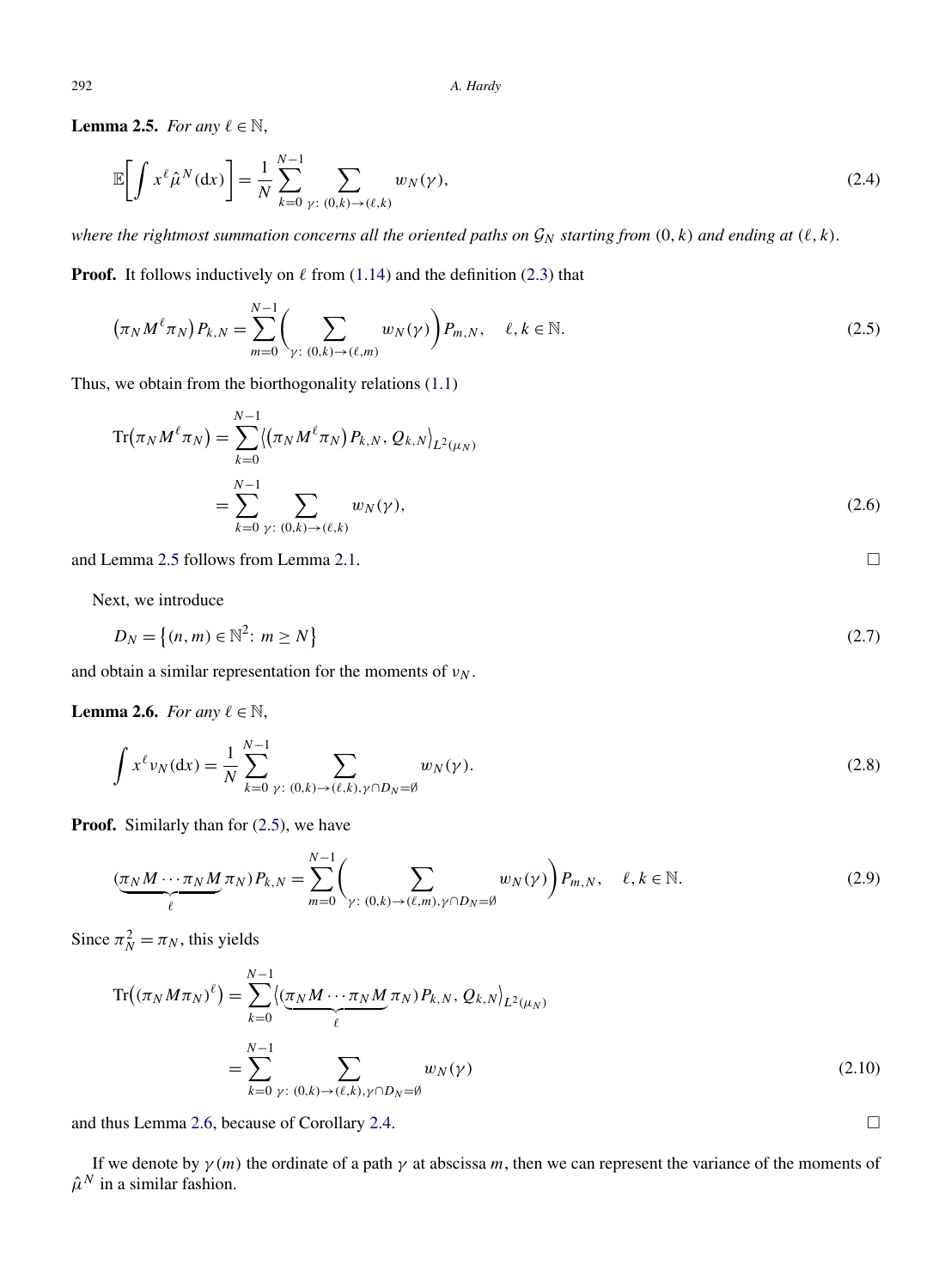<span id="page-9-0"></span>**Lemma 2.5.** *For any*  $\ell \in \mathbb{N}$ ,

$$
\mathbb{E}\bigg[\int x^{\ell}\hat{\mu}^{N}(\mathrm{d}x)\bigg] = \frac{1}{N} \sum_{k=0}^{N-1} \sum_{\gamma:\ (0,k)\to(\ell,k)} w_{N}(\gamma),\tag{2.4}
$$

*where the rightmost summation concerns all the oriented paths on*  $\mathcal{G}_N$  *starting from*  $(0, k)$  *and ending at*  $(\ell, k)$ *.* 

**Proof.** It follows inductively on  $\ell$  from [\(1.14\)](#page-2-0) and the definition [\(2.3\)](#page-8-0) that

$$
\left(\pi_N M^{\ell} \pi_N\right) P_{k,N} = \sum_{m=0}^{N-1} \left( \sum_{\gamma \colon (0,k) \to (\ell,m)} w_N(\gamma) \right) P_{m,N}, \quad \ell, k \in \mathbb{N}.
$$
\n(2.5)

Thus, we obtain from the biorthogonality relations [\(1.1\)](#page-1-0)

$$
\text{Tr}(\pi_N M^{\ell} \pi_N) = \sum_{k=0}^{N-1} \langle (\pi_N M^{\ell} \pi_N) P_{k,N}, Q_{k,N} \rangle_{L^2(\mu_N)} \n= \sum_{k=0}^{N-1} \sum_{\gamma: (0,k) \to (\ell,k)} w_N(\gamma),
$$
\n(2.6)

and Lemma 2.5 follows from Lemma [2.1.](#page-7-0)

Next, we introduce

$$
D_N = \left\{ (n, m) \in \mathbb{N}^2 \colon m \ge N \right\} \tag{2.7}
$$

 $\Box$ 

 $\Box$ 

and obtain a similar representation for the moments of  $v_N$ .

**Lemma 2.6.** *For any*  $\ell \in \mathbb{N}$ ,

$$
\int x^{\ell} \nu_N(\mathrm{d}x) = \frac{1}{N} \sum_{k=0}^{N-1} \sum_{\gamma : (0,k) \to (\ell,k), \gamma \cap D_N = \emptyset} w_N(\gamma).
$$
\n(2.8)

**Proof.** Similarly than for  $(2.5)$ , we have

$$
\underbrace{(\pi_N M \cdots \pi_N M}_{\ell} \pi_N) P_{k,N} = \sum_{m=0}^{N-1} \left( \sum_{\gamma: (0,k) \to (\ell,m), \gamma \cap D_N = \emptyset} w_N(\gamma) \right) P_{m,N}, \quad \ell, k \in \mathbb{N}.
$$
 (2.9)

Since  $\pi_N^2 = \pi_N$ , this yields

$$
\operatorname{Tr}\left((\pi_N M \pi_N)^{\ell}\right) = \sum_{k=0}^{N-1} \langle \underbrace{(\pi_N M \cdots \pi_N M}_{\ell} \pi_N) P_{k,N}, Q_{k,N} \rangle_{L^2(\mu_N)}
$$
\n
$$
= \sum_{k=0}^{N-1} \sum_{\gamma: (0,k) \to (\ell,k), \gamma \cap D_N = \emptyset} w_N(\gamma)
$$
\n(2.10)

and thus Lemma 2.6, because of Corollary [2.4.](#page-8-0)

If we denote by  $\gamma(m)$  the ordinate of a path  $\gamma$  at abscissa m, then we can represent the variance of the moments of  $\hat{\mu}^N$  in a similar fashion.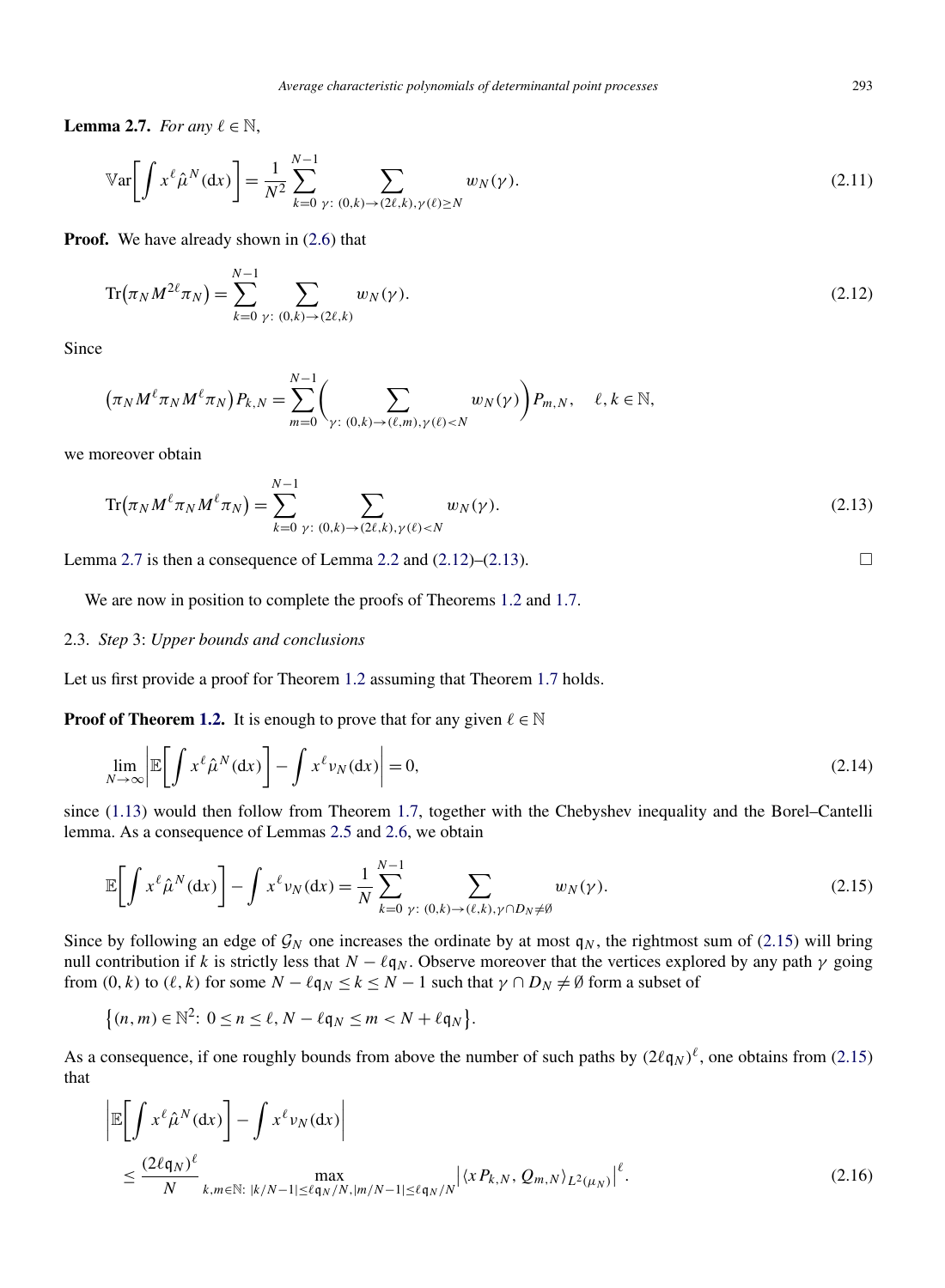<span id="page-10-0"></span>**Lemma 2.7.** *For any*  $\ell \in \mathbb{N}$ ,

$$
\mathbb{V}\text{ar}\bigg[\int x^{\ell}\hat{\mu}^{N}(\mathrm{d}x)\bigg] = \frac{1}{N^{2}}\sum_{k=0}^{N-1} \sum_{\gamma:\ (0,k)\to(2\ell,k),\gamma(\ell)\geq N} w_{N}(\gamma). \tag{2.11}
$$

**Proof.** We have already shown in  $(2.6)$  that

$$
\text{Tr}(\pi_N M^{2\ell} \pi_N) = \sum_{k=0}^{N-1} \sum_{\gamma: (0,k) \to (2\ell,k)} w_N(\gamma).
$$
 (2.12)

Since

$$
(\pi_N M^{\ell} \pi_N M^{\ell} \pi_N) P_{k,N} = \sum_{m=0}^{N-1} \Biggl( \sum_{\gamma: (0,k) \to (\ell,m), \gamma(\ell) < N} w_N(\gamma) \Biggr) P_{m,N}, \quad \ell, k \in \mathbb{N},
$$

we moreover obtain

$$
\text{Tr}(\pi_N M^{\ell} \pi_N M^{\ell} \pi_N) = \sum_{k=0}^{N-1} \sum_{\gamma: (0,k) \to (2\ell,k), \gamma(\ell) < N} w_N(\gamma). \tag{2.13}
$$

Lemma 2.7 is then a consequence of Lemma [2.2](#page-7-0) and  $(2.12)$ – $(2.13)$ .

We are now in position to complete the proofs of Theorems [1.2](#page-2-0) and [1.7.](#page-3-0)

#### 2.3. *Step* 3: *Upper bounds and conclusions*

Let us first provide a proof for Theorem [1.2](#page-2-0) assuming that Theorem [1.7](#page-3-0) holds.

**Proof of Theorem [1.2.](#page-2-0)** It is enough to prove that for any given  $\ell \in \mathbb{N}$ 

$$
\lim_{N \to \infty} \left| \mathbb{E} \left[ \int x^{\ell} \hat{\mu}^N(\mathrm{d}x) \right] - \int x^{\ell} \nu_N(\mathrm{d}x) \right| = 0,
$$
\n(2.14)

since [\(1.13\)](#page-2-0) would then follow from Theorem [1.7,](#page-3-0) together with the Chebyshev inequality and the Borel–Cantelli lemma. As a consequence of Lemmas [2.5](#page-9-0) and [2.6,](#page-9-0) we obtain

$$
\mathbb{E}\bigg[\int x^{\ell}\hat{\mu}^{N}(\mathrm{d}x)\bigg]-\int x^{\ell}\nu_{N}(\mathrm{d}x)=\frac{1}{N}\sum_{k=0}^{N-1}\sum_{\gamma:\ (0,k)\to(\ell,k),\gamma\cap D_{N}\neq\emptyset}w_{N}(\gamma).
$$
\n(2.15)

Since by following an edge of  $\mathcal{G}_N$  one increases the ordinate by at most  $q_N$ , the rightmost sum of (2.15) will bring null contribution if *k* is strictly less that  $N - \ell q_N$ . Observe moreover that the vertices explored by any path  $\gamma$  going from  $(0, k)$  to  $(\ell, k)$  for some  $N - \ell q_N \le k \le N - 1$  such that  $\gamma \cap D_N \ne \emptyset$  form a subset of

$$
\{(n,m)\in\mathbb{N}^2\colon 0\leq n\leq \ell, N-\ell\mathfrak{q}_N\leq m
$$

As a consequence, if one roughly bounds from above the number of such paths by  $(2\ell q_N)^{\ell}$ , one obtains from (2.15) that

$$
\left| \mathbb{E} \left[ \int x^{\ell} \hat{\mu}^{N} (\mathrm{d} x) \right] - \int x^{\ell} \nu_{N} (\mathrm{d} x) \right|
$$
  
\n
$$
\leq \frac{(2\ell q_{N})^{\ell}}{N} \max_{k,m \in \mathbb{N}: \, |k/N - 1| \leq \ell q_{N}/N, |m/N - 1| \leq \ell q_{N}/N} \left| \langle x P_{k,N}, Q_{m,N} \rangle_{L^{2}(\mu_{N})} \right|^{\ell}.
$$
\n(2.16)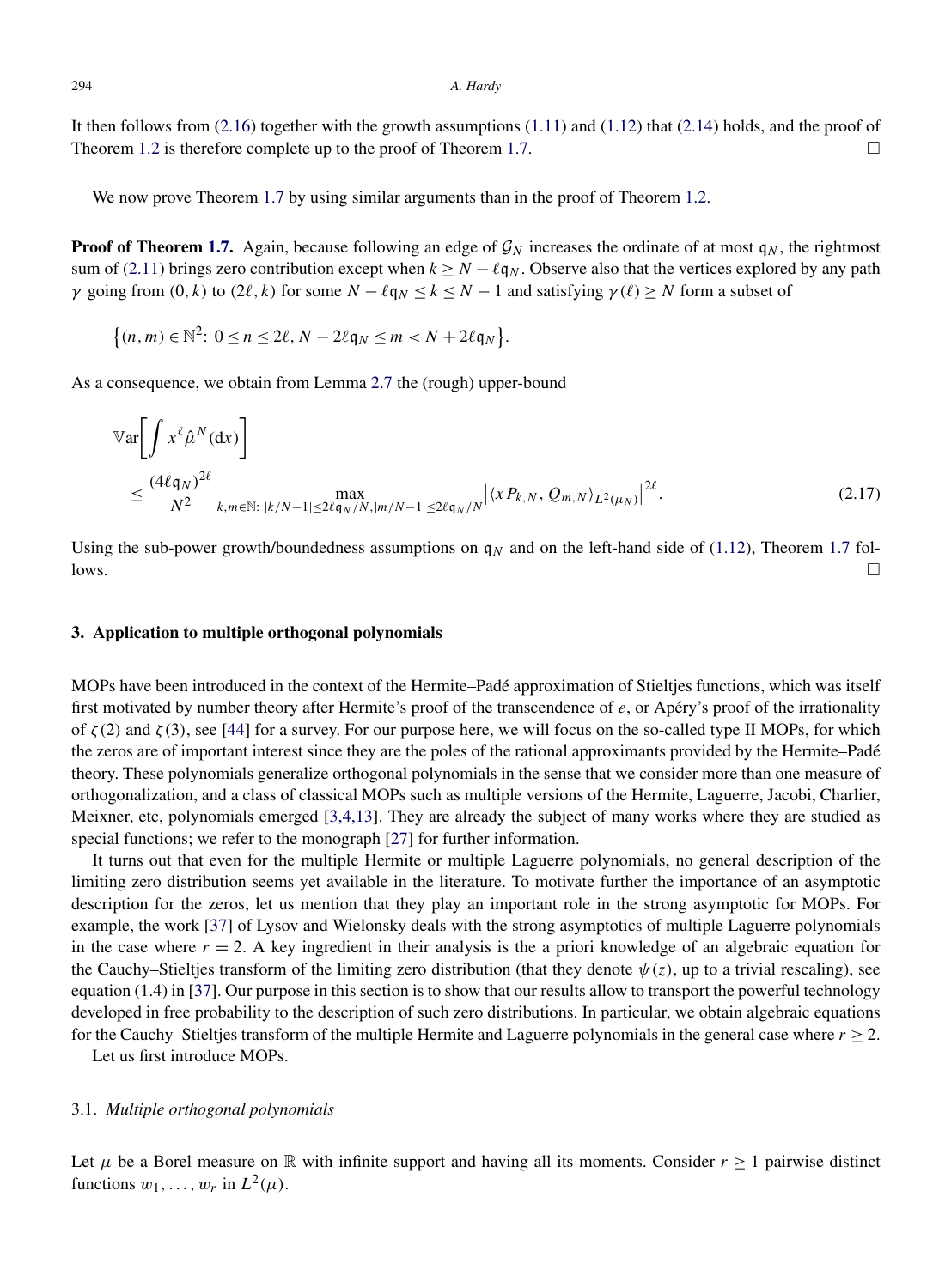<span id="page-11-0"></span>It then follows from [\(2.16\)](#page-10-0) together with the growth assumptions [\(1.11\)](#page-2-0) and [\(1.12\)](#page-2-0) that [\(2.14\)](#page-10-0) holds, and the proof of Theorem [1.2](#page-2-0) is therefore complete up to the proof of Theorem [1.7.](#page-3-0)  $\Box$ 

We now prove Theorem [1.7](#page-3-0) by using similar arguments than in the proof of Theorem [1.2.](#page-2-0)

**Proof of Theorem [1.7.](#page-3-0)** Again, because following an edge of  $\mathcal{G}_N$  increases the ordinate of at most  $q_N$ , the rightmost sum of [\(2.11\)](#page-10-0) brings zero contribution except when  $k > N - \ell q_N$ . Observe also that the vertices explored by any path *γ* going from  $(0, k)$  to  $(2\ell, k)$  for some  $N - \ell q_N \le k \le N - 1$  and satisfying  $\gamma(\ell) \ge N$  form a subset of

$$
\{(n,m)\in\mathbb{N}^2\colon 0\leq n\leq 2\ell, N-2\ell\mathfrak{q}_N\leq m\lt N+2\ell\mathfrak{q}_N\}.
$$

As a consequence, we obtain from Lemma [2.7](#page-10-0) the (rough) upper-bound

$$
\mathbb{V}\text{ar}\left[\int x^{\ell} \hat{\mu}^{N}(\text{d}x)\right]
$$
  
\n
$$
\leq \frac{(4\ell q_N)^{2\ell}}{N^2} \max_{k,m \in \mathbb{N}: |k/N-1| \leq 2\ell q_N/N, |m/N-1| \leq 2\ell q_N/N} |\langle x P_{k,N}, Q_{m,N} \rangle_{L^2(\mu_N)}|^{2\ell}.
$$
\n(2.17)

Using the sub-power growth/boundedness assumptions on  $q_N$  and on the left-hand side of [\(1.12\)](#page-2-0), Theorem [1.7](#page-3-0) fol $l$  lows.

# **3. Application to multiple orthogonal polynomials**

MOPs have been introduced in the context of the Hermite–Padé approximation of Stieltjes functions, which was itself first motivated by number theory after Hermite's proof of the transcendence of *e*, or Apéry's proof of the irrationality of  $\zeta(2)$  and  $\zeta(3)$ , see [\[44\]](#page-20-0) for a survey. For our purpose here, we will focus on the so-called type II MOPs, for which the zeros are of important interest since they are the poles of the rational approximants provided by the Hermite–Padé theory. These polynomials generalize orthogonal polynomials in the sense that we consider more than one measure of orthogonalization, and a class of classical MOPs such as multiple versions of the Hermite, Laguerre, Jacobi, Charlier, Meixner, etc, polynomials emerged [\[3,4,13\]](#page-19-0). They are already the subject of many works where they are studied as special functions; we refer to the monograph [\[27\]](#page-19-0) for further information.

It turns out that even for the multiple Hermite or multiple Laguerre polynomials, no general description of the limiting zero distribution seems yet available in the literature. To motivate further the importance of an asymptotic description for the zeros, let us mention that they play an important role in the strong asymptotic for MOPs. For example, the work [\[37\]](#page-20-0) of Lysov and Wielonsky deals with the strong asymptotics of multiple Laguerre polynomials in the case where  $r = 2$ . A key ingredient in their analysis is the a priori knowledge of an algebraic equation for the Cauchy–Stieltjes transform of the limiting zero distribution (that they denote  $\psi(z)$ , up to a trivial rescaling), see equation (1.4) in [\[37\]](#page-20-0). Our purpose in this section is to show that our results allow to transport the powerful technology developed in free probability to the description of such zero distributions. In particular, we obtain algebraic equations for the Cauchy–Stieltjes transform of the multiple Hermite and Laguerre polynomials in the general case where *r* ≥ 2.

Let us first introduce MOPs.

# 3.1. *Multiple orthogonal polynomials*

Let  $\mu$  be a Borel measure on R with infinite support and having all its moments. Consider  $r \ge 1$  pairwise distinct functions  $w_1, \ldots, w_r$  in  $L^2(\mu)$ .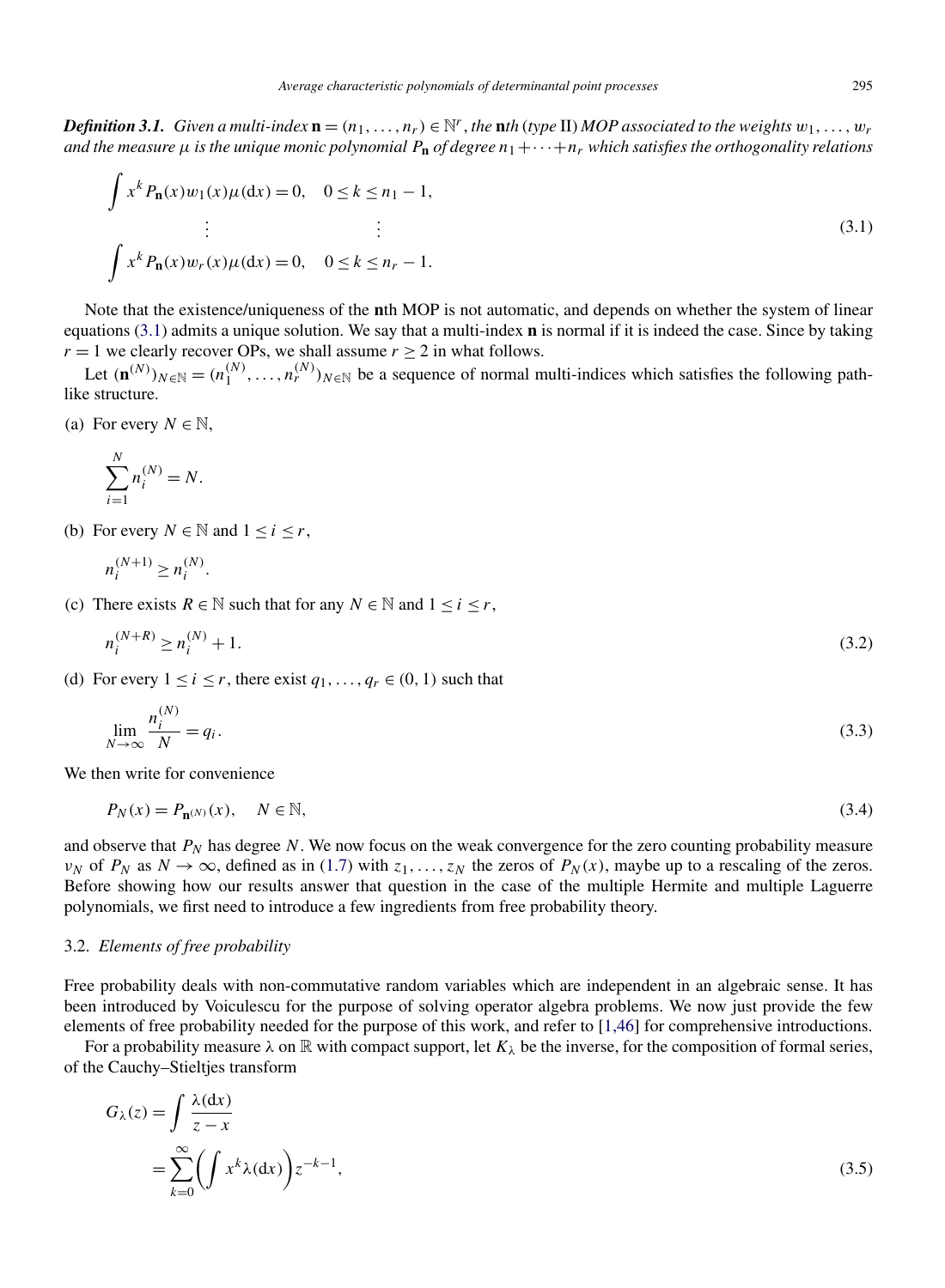<span id="page-12-0"></span>*Definition 3.1. Given a multi-index*  $\mathbf{n} = (n_1, \ldots, n_r) \in \mathbb{N}^r$ , the nth (type II) MOP associated to the weights  $w_1, \ldots, w_r$ *and the measure*  $\mu$  *is the unique monic polynomial*  $P_n$  *of degree*  $n_1 + \cdots + n_r$  *which satisfies the orthogonality relations* 

$$
\int x^k P_n(x) w_1(x) \mu(dx) = 0, \quad 0 \le k \le n_1 - 1,
$$
  
\n
$$
\vdots \qquad \qquad \vdots
$$
  
\n
$$
\int x^k P_n(x) w_r(x) \mu(dx) = 0, \quad 0 \le k \le n_r - 1.
$$
\n(3.1)

Note that the existence/uniqueness of the **n**th MOP is not automatic, and depends on whether the system of linear equations (3.1) admits a unique solution. We say that a multi-index **n** is normal if it is indeed the case. Since by taking *r* = 1 we clearly recover OPs, we shall assume  $r \ge 2$  in what follows.

Let  $(\mathbf{n}^{(N)})_{N \in \mathbb{N}} = (n_1^{(N)}, \dots, n_r^{(N)})_{N \in \mathbb{N}}$  be a sequence of normal multi-indices which satisfies the following pathlike structure.

(a) For every  $N \in \mathbb{N}$ ,

$$
\sum_{i=1}^N n_i^{(N)} = N.
$$

(b) For every  $N \in \mathbb{N}$  and  $1 \le i \le r$ ,

$$
n_i^{(N+1)} \ge n_i^{(N)}.
$$

(c) There exists  $R \in \mathbb{N}$  such that for any  $N \in \mathbb{N}$  and  $1 \le i \le r$ ,

$$
n_i^{(N+R)} \ge n_i^{(N)} + 1. \tag{3.2}
$$

(d) For every  $1 \le i \le r$ , there exist  $q_1, \ldots, q_r \in (0, 1)$  such that

$$
\lim_{N \to \infty} \frac{n_i^{(N)}}{N} = q_i.
$$
\n(3.3)

We then write for convenience

$$
P_N(x) = P_{\mathbf{n}^{(N)}}(x), \quad N \in \mathbb{N},\tag{3.4}
$$

and observe that  $P_N$  has degree  $N$ . We now focus on the weak convergence for the zero counting probability measure  $ν_N$  of  $P_N$  as  $N \to \infty$ , defined as in [\(1.7\)](#page-1-0) with  $z_1, \ldots, z_N$  the zeros of  $P_N(x)$ , maybe up to a rescaling of the zeros. Before showing how our results answer that question in the case of the multiple Hermite and multiple Laguerre polynomials, we first need to introduce a few ingredients from free probability theory.

# 3.2. *Elements of free probability*

Free probability deals with non-commutative random variables which are independent in an algebraic sense. It has been introduced by Voiculescu for the purpose of solving operator algebra problems. We now just provide the few elements of free probability needed for the purpose of this work, and refer to [\[1,46\]](#page-19-0) for comprehensive introductions.

For a probability measure  $\lambda$  on  $\mathbb R$  with compact support, let  $K_\lambda$  be the inverse, for the composition of formal series, of the Cauchy–Stieltjes transform

$$
G_{\lambda}(z) = \int \frac{\lambda(\mathrm{d}x)}{z - x} = \sum_{k=0}^{\infty} \left( \int x^{k} \lambda(\mathrm{d}x) \right) z^{-k-1},
$$
(3.5)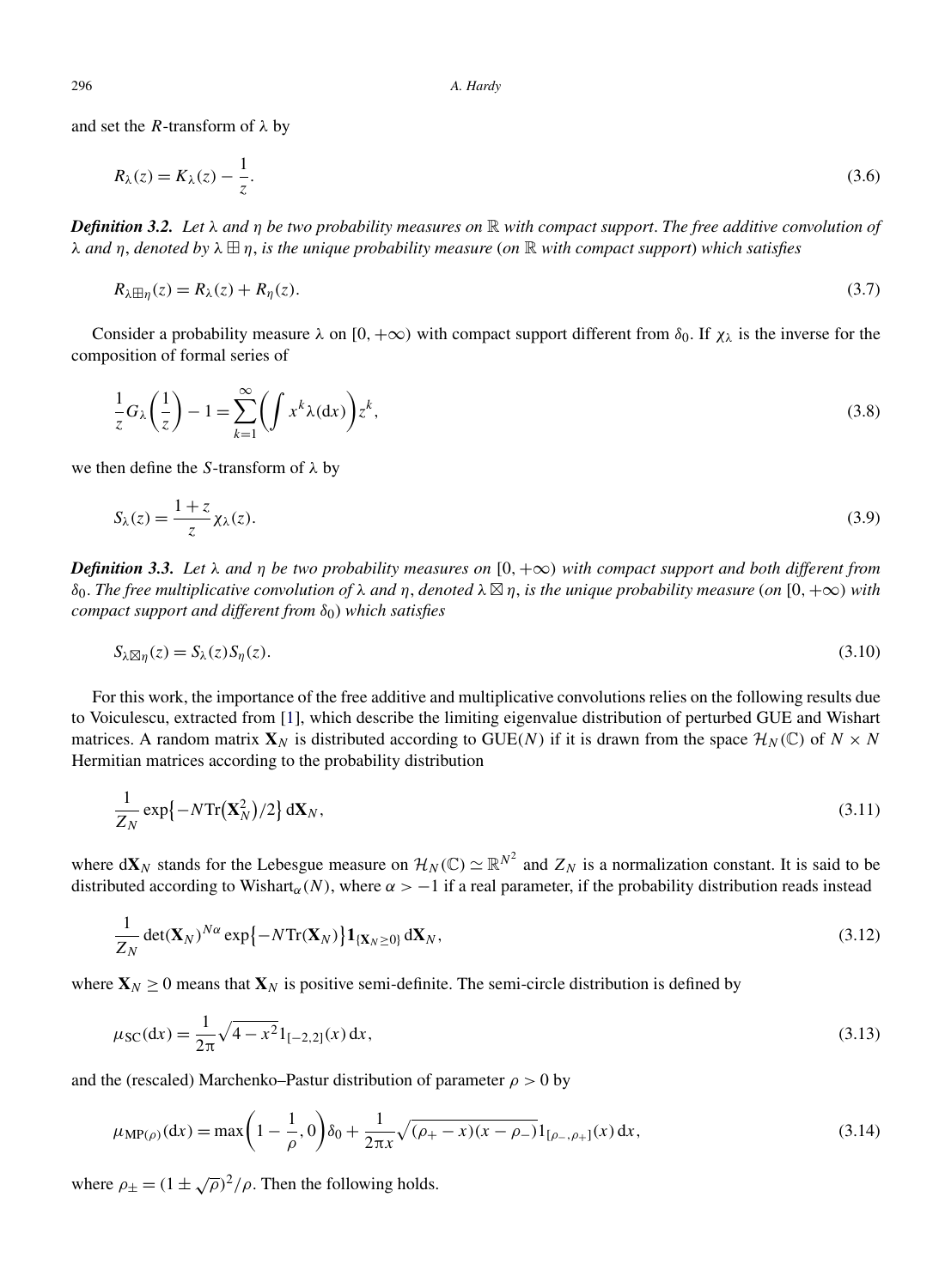<span id="page-13-0"></span>and set the *R*-transform of *λ* by

$$
R_{\lambda}(z) = K_{\lambda}(z) - \frac{1}{z}.\tag{3.6}
$$

*Definition 3.2. Let λ and η be two probability measures on* R *with compact support*. *The free additive convolution of λ and η*, *denoted by λ η*, *is the unique probability measure* (*on* R *with compact support*) *which satisfies*

$$
R_{\lambda \boxplus \eta}(z) = R_{\lambda}(z) + R_{\eta}(z). \tag{3.7}
$$

Consider a probability measure  $\lambda$  on  $[0, +\infty)$  with compact support different from  $\delta_0$ . If  $\chi_{\lambda}$  is the inverse for the composition of formal series of

$$
\frac{1}{z}G_{\lambda}\left(\frac{1}{z}\right) - 1 = \sum_{k=1}^{\infty} \left(\int x^{k} \lambda(dx)\right) z^{k},\tag{3.8}
$$

we then define the *S*-transform of *λ* by

$$
S_{\lambda}(z) = \frac{1+z}{z} \chi_{\lambda}(z). \tag{3.9}
$$

*Definition 3.3. Let λ and η be two probability measures on*  $[0, +∞)$  *with compact support and both different from δ*<sub>0</sub>. The free multiplicative convolution of  $\lambda$  and  $\eta$ , denoted  $\lambda \boxtimes \eta$ , is the unique probability measure (on [0, +∞) with *compact support and different from δ*0) *which satisfies*

$$
S_{\lambda} \boxtimes_{\eta} (z) = S_{\lambda}(z) S_{\eta}(z). \tag{3.10}
$$

For this work, the importance of the free additive and multiplicative convolutions relies on the following results due to Voiculescu, extracted from [\[1\]](#page-19-0), which describe the limiting eigenvalue distribution of perturbed GUE and Wishart matrices. A random matrix  $\mathbf{X}_N$  is distributed according to GUE(N) if it is drawn from the space  $\mathcal{H}_N(\mathbb{C})$  of  $N \times N$ Hermitian matrices according to the probability distribution

$$
\frac{1}{Z_N} \exp\{-N \text{Tr}(\mathbf{X}_N^2)/2\} \, \mathrm{d}\mathbf{X}_N,\tag{3.11}
$$

where  $d\mathbf{X}_N$  stands for the Lebesgue measure on  $\mathcal{H}_N(\mathbb{C}) \simeq \mathbb{R}^{N^2}$  and  $Z_N$  is a normalization constant. It is said to be distributed according to Wishart<sub>α</sub>(N), where  $\alpha > -1$  if a real parameter, if the probability distribution reads instead

$$
\frac{1}{Z_N} \det(\mathbf{X}_N)^{N\alpha} \exp\{-N \text{Tr}(\mathbf{X}_N)\} \mathbf{1}_{\{\mathbf{X}_N \geq 0\}} \, \mathrm{d}\mathbf{X}_N,\tag{3.12}
$$

where  $\mathbf{X}_N \geq 0$  means that  $\mathbf{X}_N$  is positive semi-definite. The semi-circle distribution is defined by

$$
\mu_{SC}(dx) = \frac{1}{2\pi} \sqrt{4 - x^2} 1_{[-2,2]}(x) dx,
$$
\n(3.13)

and the (rescaled) Marchenko–Pastur distribution of parameter  $\rho > 0$  by

$$
\mu_{\text{MP}(\rho)}(dx) = \max\left(1 - \frac{1}{\rho}, 0\right)\delta_0 + \frac{1}{2\pi x}\sqrt{(\rho_+ - x)(x - \rho_-)}1_{[\rho_-, \rho_+]}(x) dx,\tag{3.14}
$$

where  $\rho_{+} = (1 \pm \sqrt{\rho})^2/\rho$ . Then the following holds.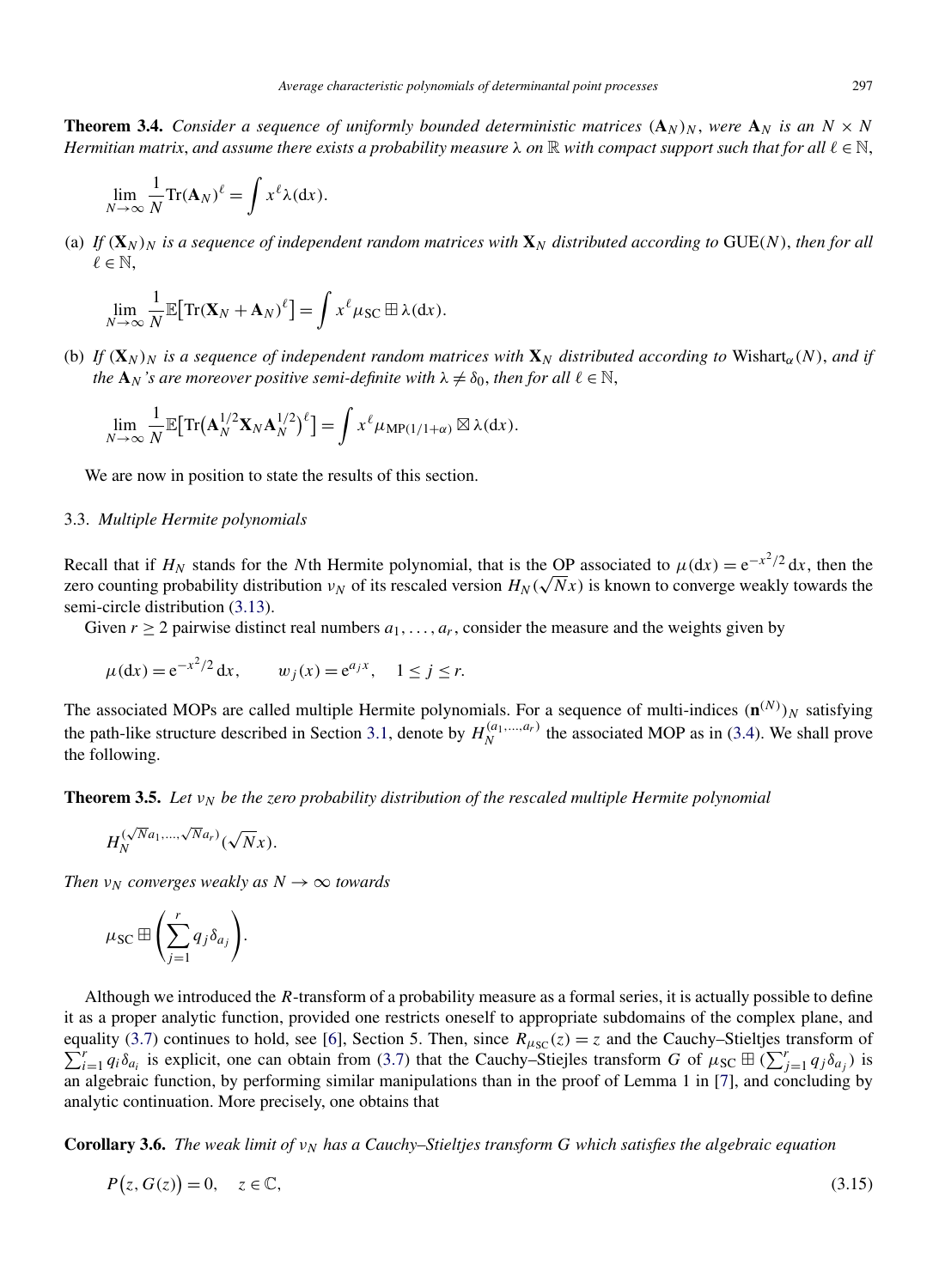<span id="page-14-0"></span>**Theorem 3.4.** *Consider a sequence of uniformly bounded deterministic matrices*  $(A_N)_N$ , were  $A_N$  *is an*  $N \times N$ *Hermitian matrix, and assume there exists a probability measure*  $\lambda$  *on*  $\mathbb R$  *with compact support such that for all*  $\ell \in \mathbb N$ *,* 

$$
\lim_{N \to \infty} \frac{1}{N} \text{Tr}(\mathbf{A}_N)^{\ell} = \int x^{\ell} \lambda(dx).
$$

(a) If  $(X_N)_N$  is a sequence of independent random matrices with  $X_N$  distributed according to GUE(N), then for all  $\ell \in \mathbb{N}$ ,

$$
\lim_{N\to\infty}\frac{1}{N}\mathbb{E}\big[\mathrm{Tr}(\mathbf{X}_N+\mathbf{A}_N)^{\ell}\big]=\int x^{\ell}\mu_{\mathrm{SC}}\boxplus\lambda(\mathrm{d}x).
$$

(b) *If*  $(X_N)_N$  *is a sequence of independent random matrices with*  $X_N$  *distributed according to* Wishart<sub>α</sub>(N), *and if the*  $\mathbf{A}_N$ 's are moreover positive semi-definite with  $\lambda \neq \delta_0$ , then for all  $\ell \in \mathbb{N}$ ,

$$
\lim_{N\to\infty}\frac{1}{N}\mathbb{E}\big[\mathrm{Tr}\big(\mathbf{A}_N^{1/2}\mathbf{X}_N\mathbf{A}_N^{1/2}\big)^{\ell}\big]=\int x^{\ell}\mu_{\mathrm{MP}(1/1+\alpha)}\boxtimes\lambda(\mathrm{d}x).
$$

We are now in position to state the results of this section.

# 3.3. *Multiple Hermite polynomials*

Recall that if  $H_N$  stands for the *N*th Hermite polynomial, that is the OP associated to  $\mu(dx) = e^{-x^2/2} dx$ , then the  $x$ ecall that if  $H_N$  stands for the *N* th Hermite polynomial, that is the OP associated to  $\mu$ (α*x*) = e<sup>-*n*</sup> a*x*, then the age of counting probability distribution *ν<sub>N</sub>* of its rescaled version  $H_N(\sqrt{Nx})$  is known semi-circle distribution [\(3.13\)](#page-13-0).

Given  $r > 2$  pairwise distinct real numbers  $a_1, \ldots, a_r$ , consider the measure and the weights given by

$$
\mu(\mathrm{d}x) = e^{-x^2/2} \, \mathrm{d}x, \qquad w_j(x) = e^{a_j x}, \quad 1 \le j \le r.
$$

The associated MOPs are called multiple Hermite polynomials. For a sequence of multi-indices  $(\mathbf{n}^{(N)})_N$  satisfying the path-like structure described in Section [3.1,](#page-11-0) denote by  $H_N^{(a_1,...,a_r)}$  the associated MOP as in [\(3.4\)](#page-12-0). We shall prove the following.

**Theorem 3.5.** *Let*  $v_N$  *be the zero probability distribution of the rescaled multiple Hermite polynomial* 

$$
H_N^{(\sqrt{N}a_1,\ldots,\sqrt{N}a_r)}(\sqrt{N}x).
$$

*Then*  $v_N$  *converges weakly as*  $N \rightarrow \infty$  *towards* 

$$
\mu_{\rm SC} \boxplus \left(\sum_{j=1}^r q_j \delta_{a_j}\right).
$$

Although we introduced the *R*-transform of a probability measure as a formal series, it is actually possible to define it as a proper analytic function, provided one restricts oneself to appropriate subdomains of the complex plane, and equality [\(3.7\)](#page-13-0) continues to hold, see [\[6\]](#page-19-0), Section 5. Then, since  $R_{\mu_{\rm SC}}(z) = z$  and the Cauchy–Stieltjes transform of  $\sum_{i=1}^{r} a_i \delta_{\alpha_i}$  is explicit, one can obtain from (3.7) that the Cauchy–Stielles transform G of  $\int_{i=1}^{r} q_i \delta_{a_i}$  is explicit, one can obtain from [\(3.7\)](#page-13-0) that the Cauchy–Stiejles transform *G* of  $\mu_{SC} \boxplus (\sum_{j=1}^{r} q_j \delta_{a_j})$  is an algebraic function, by performing similar manipulations than in the proof of Lemma 1 in [\[7\]](#page-19-0), and concluding by analytic continuation. More precisely, one obtains that

**Corollary 3.6.** *The weak limit of*  $v_N$  *has a Cauchy–Stieltjes transform G which satisfies the algebraic equation* 

$$
P(z, G(z)) = 0, \quad z \in \mathbb{C},\tag{3.15}
$$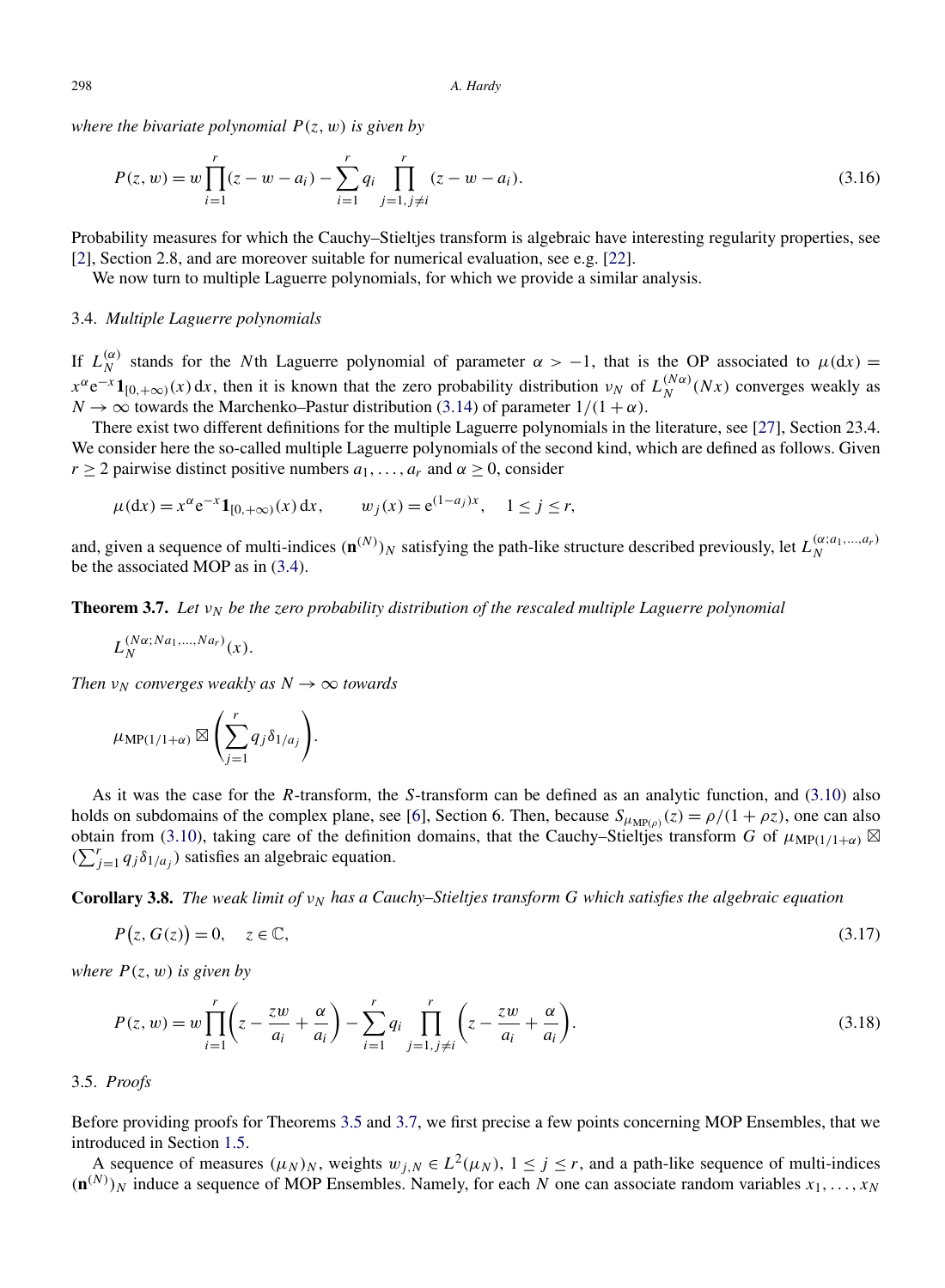<span id="page-15-0"></span>*where the bivariate polynomial P(z,w) is given by*

$$
P(z, w) = w \prod_{i=1}^{r} (z - w - a_i) - \sum_{i=1}^{r} q_i \prod_{j=1, j \neq i}^{r} (z - w - a_i).
$$
 (3.16)

Probability measures for which the Cauchy–Stieltjes transform is algebraic have interesting regularity properties, see [\[2\]](#page-19-0), Section 2.8, and are moreover suitable for numerical evaluation, see e.g. [\[22\]](#page-19-0).

We now turn to multiple Laguerre polynomials, for which we provide a similar analysis.

# 3.4. *Multiple Laguerre polynomials*

If  $L_N^{(\alpha)}$  stands for the *N*th Laguerre polynomial of parameter  $\alpha > -1$ , that is the OP associated to  $\mu(dx) =$  $x^{\alpha}e^{-x}$ **1**<sub>[0,+∞</sub> $)$ (*x*) d*x*, then it is known that the zero probability distribution *v<sub>N</sub>* of  $L_N^{(N\alpha)}(Nx)$  converges weakly as *N*  $\rightarrow \infty$  towards the Marchenko–Pastur distribution [\(3.14\)](#page-13-0) of parameter  $1/(1 + \alpha)$ .

There exist two different definitions for the multiple Laguerre polynomials in the literature, see [\[27\]](#page-19-0), Section 23.4. We consider here the so-called multiple Laguerre polynomials of the second kind, which are defined as follows. Given *r*  $\geq$  2 pairwise distinct positive numbers  $a_1, \ldots, a_r$  and  $\alpha \geq 0$ , consider

 $\mu(dx) = x^{\alpha} e^{-x} \mathbf{1}_{[0, +\infty)}(x) dx, \quad w_j(x) = e^{(1-a_j)x}, \quad 1 \leq j \leq r,$ 

and, given a sequence of multi-indices  $(\mathbf{n}^{(N)})_N$  satisfying the path-like structure described previously, let  $L_N^{(\alpha; a_1,...,a_r)}$ be the associated MOP as in [\(3.4\)](#page-12-0).

**Theorem 3.7.** *Let*  $v_N$  *be the zero probability distribution of the rescaled multiple Laguerre polynomial* 

$$
L_N^{(N\alpha;Na_1,\ldots,Na_r)}(x).
$$

*Then*  $v_N$  *converges weakly as*  $N \rightarrow \infty$  *towards* 

$$
\mu_{\text{MP}(1/1+\alpha)} \boxtimes \left(\sum_{j=1}^r q_j \delta_{1/a_j}\right).
$$

As it was the case for the *R*-transform, the *S*-transform can be defined as an analytic function, and [\(3.10\)](#page-13-0) also holds on subdomains of the complex plane, see [\[6\]](#page-19-0), Section 6. Then, because  $S_{\mu_{\text{MP}(0)}}(z) = \rho/(1 + \rho z)$ , one can also obtain from [\(3.10\)](#page-13-0), taking care of the definition domains, that the Cauchy–Stieltjes transform *G* of  $\mu_{MP(1/1+\alpha)} \boxtimes$  $(\sum_{j=1}^{r} q_j \delta_{1/a_j})$  satisfies an algebraic equation.

**Corollary 3.8.** *The weak limit of ν<sub>N</sub> has a Cauchy–Stieltjes transform G which satisfies the algebraic equation* 

$$
P(z, G(z)) = 0, \quad z \in \mathbb{C},\tag{3.17}
$$

*where*  $P(z, w)$  *is given by* 

$$
P(z, w) = w \prod_{i=1}^{r} \left( z - \frac{zw}{a_i} + \frac{\alpha}{a_i} \right) - \sum_{i=1}^{r} q_i \prod_{j=1, j \neq i}^{r} \left( z - \frac{zw}{a_i} + \frac{\alpha}{a_i} \right).
$$
 (3.18)

#### 3.5. *Proofs*

Before providing proofs for Theorems [3.5](#page-14-0) and 3.7, we first precise a few points concerning MOP Ensembles, that we introduced in Section [1.5.](#page-5-0)

A sequence of measures  $(\mu_N)_N$ , weights  $w_{j,N} \in L^2(\mu_N)$ ,  $1 \le j \le r$ , and a path-like sequence of multi-indices  $({\bf n}^{(N)})_N$  induce a sequence of MOP Ensembles. Namely, for each *N* one can associate random variables  $x_1, \ldots, x_N$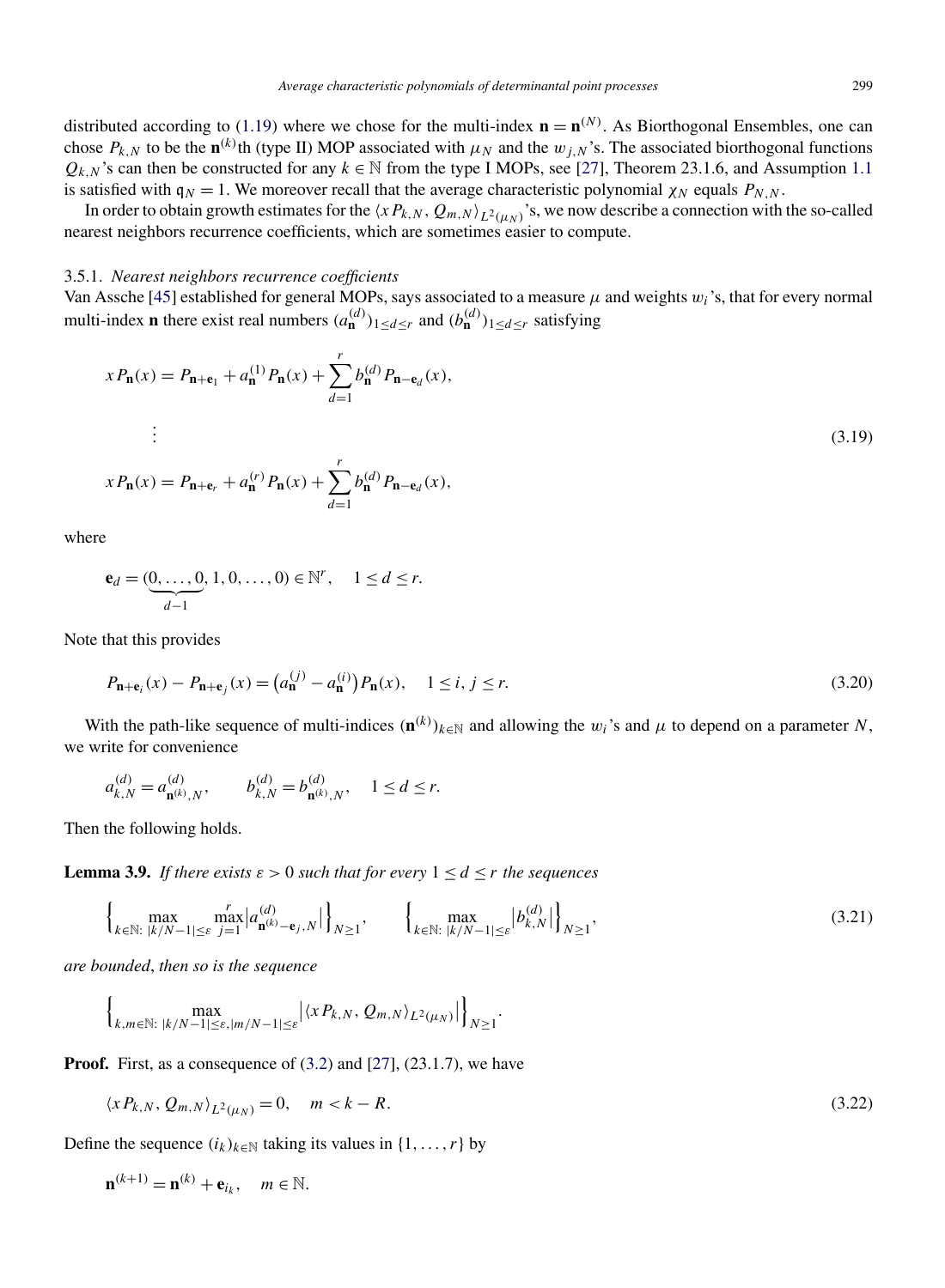<span id="page-16-0"></span>distributed according to [\(1.19\)](#page-5-0) where we chose for the multi-index  $\mathbf{n} = \mathbf{n}^{(N)}$ . As Biorthogonal Ensembles, one can chose  $P_{k,N}$  to be the **n**<sup>(k)</sup>th (type II) MOP associated with  $\mu_N$  and the  $w_{j,N}$ 's. The associated biorthogonal functions  $Q_{k,N}$ 's can then be constructed for any  $k \in \mathbb{N}$  from the type I MOPs, see [\[27\]](#page-19-0), Theorem 23.1.6, and Assumption [1.1](#page-2-0) is satisfied with  $q_N = 1$ . We moreover recall that the average characteristic polynomial  $\chi_N$  equals  $P_{N,N}$ .

In order to obtain growth estimates for the  $\langle xP_{k,N}, Q_{m,N} \rangle_{L^2(\mu_N)}$ 's, we now describe a connection with the so-called nearest neighbors recurrence coefficients, which are sometimes easier to compute.

# 3.5.1. *Nearest neighbors recurrence coefficients*

Van Assche [\[45\]](#page-20-0) established for general MOPs, says associated to a measure  $\mu$  and weights  $w_i$ 's, that for every normal multi-index **n** there exist real numbers  $(a_{n}^{(d)})_{1 \leq d \leq r}$  and  $(b_{n}^{(d)})_{1 \leq d \leq r}$  satisfying

$$
x P_{n}(x) = P_{n+e_{1}} + a_{n}^{(1)} P_{n}(x) + \sum_{d=1}^{r} b_{n}^{(d)} P_{n-e_{d}}(x),
$$
  
\n
$$
\vdots
$$
  
\n
$$
x P_{n}(x) = P_{n+e_{r}} + a_{n}^{(r)} P_{n}(x) + \sum_{d=1}^{r} b_{n}^{(d)} P_{n-e_{d}}(x),
$$
  
\n(3.19)

where

$$
\mathbf{e}_d = (\underbrace{0, \dots, 0}_{d-1}, 1, 0, \dots, 0) \in \mathbb{N}^r, \quad 1 \leq d \leq r.
$$

Note that this provides

$$
P_{\mathbf{n}+\mathbf{e}_i}(x) - P_{\mathbf{n}+\mathbf{e}_j}(x) = (a_{\mathbf{n}}^{(j)} - a_{\mathbf{n}}^{(i)}) P_{\mathbf{n}}(x), \quad 1 \le i, j \le r.
$$
 (3.20)

With the path-like sequence of multi-indices  $(\mathbf{n}^{(k)})_{k\in\mathbb{N}}$  and allowing the  $w_i$ 's and  $\mu$  to depend on a parameter *N*, we write for convenience

$$
a_{k,N}^{(d)} = a_{\mathbf{n}^{(k)},N}^{(d)}, \qquad b_{k,N}^{(d)} = b_{\mathbf{n}^{(k)},N}^{(d)}, \quad 1 \le d \le r.
$$

Then the following holds.

**Lemma 3.9.** *If there exists*  $\varepsilon > 0$  *such that for every*  $1 \le d \le r$  *the sequences* 

$$
\left\{\max_{k \in \mathbb{N}: \ |k/N-1| \leq \varepsilon} \max_{j=1}^r |a_{\mathbf{n}^{(k)}-\mathbf{e}_j,N}^{(d)}|\right\}_{N\geq 1}, \qquad \left\{\max_{k \in \mathbb{N}: \ |k/N-1| \leq \varepsilon} |b_{k,N}^{(d)}|\right\}_{N\geq 1},\tag{3.21}
$$

*are bounded*, *then so is the sequence*

$$
\left\{\max_{k,m\in\mathbb{N}:\;|k/N-1|\leq\varepsilon,|m/N-1|\leq\varepsilon}\left|\left\langle xP_{k,N},Q_{m,N}\right\rangle_{L^{2}(\mu_{N})}\right|\right\}_{N\geq1}.
$$

**Proof.** First, as a consequence of [\(3.2\)](#page-12-0) and [\[27\]](#page-19-0), (23.1.7), we have

$$
\langle x P_{k,N}, Q_{m,N} \rangle_{L^2(\mu_N)} = 0, \quad m < k - R. \tag{3.22}
$$

Define the sequence  $(i_k)_{k \in \mathbb{N}}$  taking its values in  $\{1, \ldots, r\}$  by

$$
\mathbf{n}^{(k+1)} = \mathbf{n}^{(k)} + \mathbf{e}_{i_k}, \quad m \in \mathbb{N}.
$$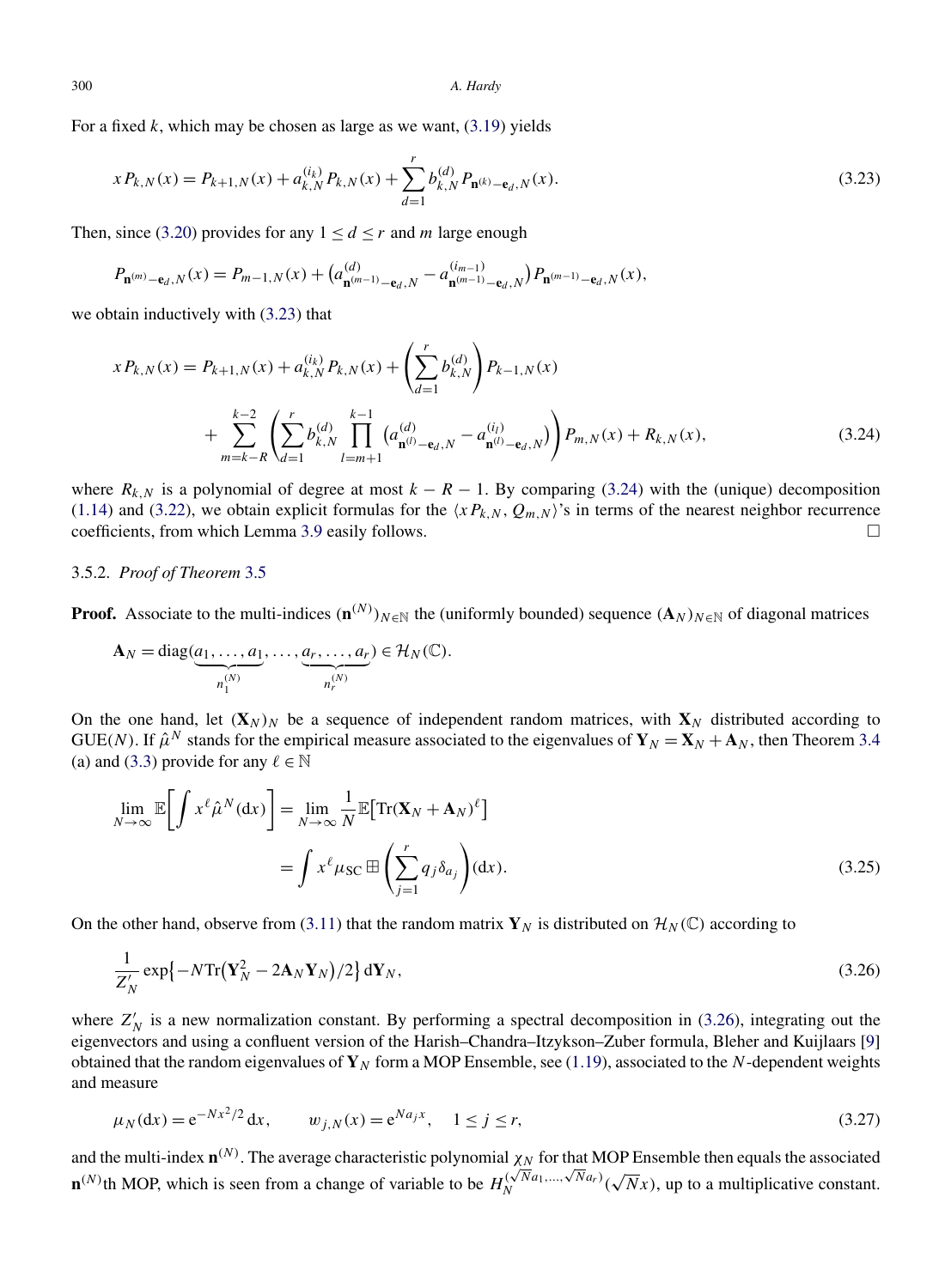For a fixed *k*, which may be chosen as large as we want, [\(3.19\)](#page-16-0) yields

$$
x P_{k,N}(x) = P_{k+1,N}(x) + a_{k,N}^{(i_k)} P_{k,N}(x) + \sum_{d=1}^r b_{k,N}^{(d)} P_{\mathbf{n}^{(k)}-\mathbf{e}_d,N}(x).
$$
\n(3.23)

Then, since [\(3.20\)](#page-16-0) provides for any  $1 \le d \le r$  and *m* large enough

$$
P_{\mathbf{n}^{(m)}-\mathbf{e}_d,N}(x) = P_{m-1,N}(x) + \left(a_{\mathbf{n}^{(m-1)}-\mathbf{e}_d,N}^{(d)} - a_{\mathbf{n}^{(m-1)}-\mathbf{e}_d,N}^{(i_{m-1})}\right)P_{\mathbf{n}^{(m-1)}-\mathbf{e}_d,N}(x),
$$

we obtain inductively with (3.23) that

$$
x P_{k,N}(x) = P_{k+1,N}(x) + a_{k,N}^{(i_k)} P_{k,N}(x) + \left(\sum_{d=1}^r b_{k,N}^{(d)}\right) P_{k-1,N}(x)
$$
  
+ 
$$
\sum_{m=k-R}^{k-2} \left(\sum_{d=1}^r b_{k,N}^{(d)} \prod_{l=m+1}^{k-1} \left(a_{\mathbf{n}^{(l)}-\mathbf{e}_d,N}^{(d)} - a_{\mathbf{n}^{(l)}-\mathbf{e}_d,N}^{(i_l)}\right)\right) P_{m,N}(x) + R_{k,N}(x),
$$
(3.24)

where  $R_{k,N}$  is a polynomial of degree at most  $k - R - 1$ . By comparing (3.24) with the (unique) decomposition [\(1.14\)](#page-2-0) and [\(3.22\)](#page-16-0), we obtain explicit formulas for the  $\langle xP_{k,N}, Q_{m,N} \rangle$ 's in terms of the nearest neighbor recurrence coefficients, from which Lemma [3.9](#page-16-0) easily follows.  $\Box$ 

# 3.5.2. *Proof of Theorem* [3.5](#page-14-0)

**Proof.** Associate to the multi-indices  $(\mathbf{n}^{(N)})_{N \in \mathbb{N}}$  the (uniformly bounded) sequence  $(\mathbf{A}_N)_{N \in \mathbb{N}}$  of diagonal matrices

$$
\mathbf{A}_N = \text{diag}(\underbrace{a_1, \dots, a_1}_{n_1^{(N)}}, \dots, \underbrace{a_r, \dots, a_r}_{n_r^{(N)}}) \in \mathcal{H}_N(\mathbb{C}).
$$

On the one hand, let  $(X_N)_N$  be a sequence of independent random matrices, with  $X_N$  distributed according to GUE(*N*). If  $\hat{\mu}^N$  stands for the empirical measure associated to the eigenvalues of  $Y_N = X_N + A_N$ , then Theorem [3.4](#page-14-0) (a) and [\(3.3\)](#page-12-0) provide for any  $\ell \in \mathbb{N}$ 

$$
\lim_{N \to \infty} \mathbb{E} \bigg[ \int x^{\ell} \hat{\mu}^{N} (\mathrm{d}x) \bigg] = \lim_{N \to \infty} \frac{1}{N} \mathbb{E} \big[ \mathrm{Tr} (\mathbf{X}_{N} + \mathbf{A}_{N})^{\ell} \big] \n= \int x^{\ell} \mu_{\mathrm{SC}} \boxplus \left( \sum_{j=1}^{r} q_{j} \delta_{a_{j}} \right) (\mathrm{d}x).
$$
\n(3.25)

On the other hand, observe from [\(3.11\)](#page-13-0) that the random matrix  $\mathbf{Y}_N$  is distributed on  $\mathcal{H}_N(\mathbb{C})$  according to

$$
\frac{1}{Z'_N} \exp\{-N \text{Tr}(\mathbf{Y}_N^2 - 2\mathbf{A}_N \mathbf{Y}_N)/2\} \, \mathrm{d}\mathbf{Y}_N,\tag{3.26}
$$

where  $Z'_N$  is a new normalization constant. By performing a spectral decomposition in (3.26), integrating out the eigenvectors and using a confluent version of the Harish–Chandra–Itzykson–Zuber formula, Bleher and Kuijlaars [\[9\]](#page-19-0) obtained that the random eigenvalues of  $\mathbf{Y}_N$  form a MOP Ensemble, see [\(1.19\)](#page-5-0), associated to the *N*-dependent weights and measure

$$
\mu_N(\mathrm{d}x) = e^{-Nx^2/2} \, \mathrm{d}x, \qquad w_{j,N}(x) = e^{Na_jx}, \quad 1 \le j \le r,\tag{3.27}
$$

and the multi-index  $\mathbf{n}^{(N)}$ . The average characteristic polynomial  $\chi_N$  for that MOP Ensemble then equals the associated **n**<sup>(*N*)</sup>th MOP, which is seen from a change of variable to be  $H_N^{(\sqrt{N}a_1,...,\sqrt{N}a_r)}(\sqrt{N}x)$ , up to a multiplicative constant.

<span id="page-17-0"></span>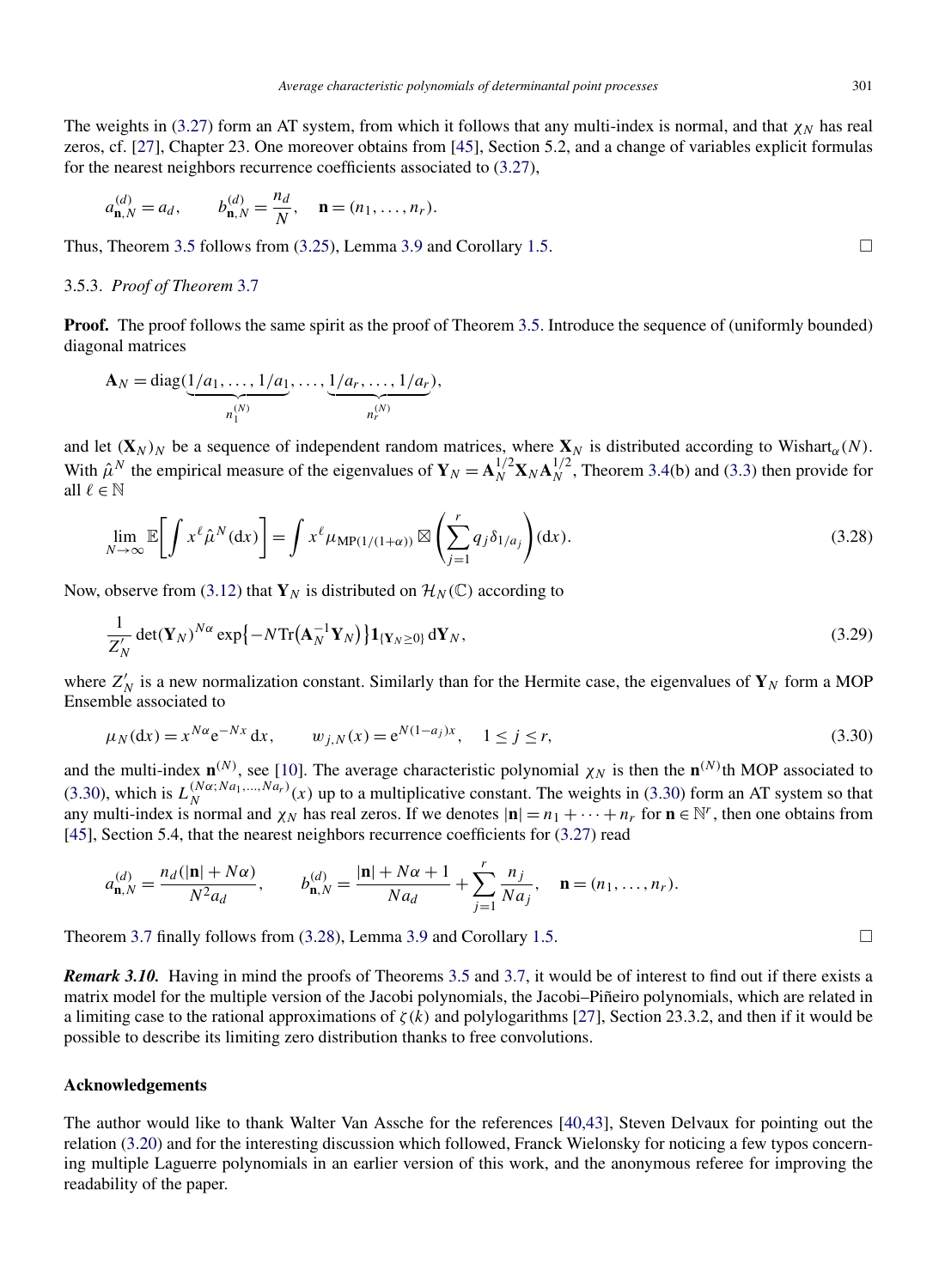The weights in [\(3.27\)](#page-17-0) form an AT system, from which it follows that any multi-index is normal, and that  $\chi_N$  has real zeros, cf. [\[27\]](#page-19-0), Chapter 23. One moreover obtains from [\[45\]](#page-20-0), Section 5.2, and a change of variables explicit formulas for the nearest neighbors recurrence coefficients associated to [\(3.27\)](#page-17-0),

$$
a_{\mathbf{n},N}^{(d)} = a_d, \qquad b_{\mathbf{n},N}^{(d)} = \frac{n_d}{N}, \quad \mathbf{n} = (n_1, \ldots, n_r).
$$

Thus, Theorem [3.5](#page-14-0) follows from  $(3.25)$ , Lemma [3.9](#page-16-0) and Corollary [1.5.](#page-3-0)

#### 3.5.3. *Proof of Theorem* [3.7](#page-15-0)

**Proof.** The proof follows the same spirit as the proof of Theorem [3.5.](#page-14-0) Introduce the sequence of (uniformly bounded) diagonal matrices

$$
\mathbf{A}_N = \text{diag}(\underbrace{1/a_1, \dots, 1/a_1}_{n_1^{(N)}}, \dots, \underbrace{1/a_r, \dots, 1/a_r}_{n_r^{(N)}}),
$$

and let  $(X_N)_N$  be a sequence of independent random matrices, where  $X_N$  is distributed according to Wishart<sub>α</sub>(N). With  $\hat{\mu}^N$  the empirical measure of the eigenvalues of  $\mathbf{Y}_N = \mathbf{A}_N^{1/2} \mathbf{X}_N \mathbf{A}_N^{1/2}$ , Theorem [3.4\(](#page-14-0)b) and [\(3.3\)](#page-12-0) then provide for all  $\ell \in \mathbb{N}$ 

$$
\lim_{N \to \infty} \mathbb{E} \bigg[ \int x^{\ell} \hat{\mu}^{N}(\mathrm{d}x) \bigg] = \int x^{\ell} \mu_{\mathrm{MP}(1/(1+\alpha))} \boxtimes \left( \sum_{j=1}^{r} q_{j} \delta_{1/a_{j}} \right) (\mathrm{d}x). \tag{3.28}
$$

Now, observe from [\(3.12\)](#page-13-0) that  $\mathbf{Y}_N$  is distributed on  $\mathcal{H}_N(\mathbb{C})$  according to

$$
\frac{1}{Z'_N} \det(\mathbf{Y}_N)^{N\alpha} \exp\left\{-N \text{Tr}\left(\mathbf{A}_N^{-1} \mathbf{Y}_N\right)\right\} \mathbf{1}_{\{\mathbf{Y}_N \geq 0\}} \, \mathrm{d} \mathbf{Y}_N, \tag{3.29}
$$

where  $Z'_N$  is a new normalization constant. Similarly than for the Hermite case, the eigenvalues of  $Y_N$  form a MOP Ensemble associated to

$$
\mu_N(\mathrm{d}x) = x^{N\alpha} e^{-Nx} \, \mathrm{d}x, \qquad w_{j,N}(x) = e^{N(1-a_j)x}, \quad 1 \le j \le r,\tag{3.30}
$$

and the multi-index  $\mathbf{n}^{(N)}$ , see [\[10\]](#page-19-0). The average characteristic polynomial  $\chi_N$  is then the  $\mathbf{n}^{(N)}$ th MOP associated to (3.30), which is  $L_N^{(N\alpha;Na_1,...,Na_r)}(x)$  up to a multiplicative constant. The weights in (3.30) form an AT system so that any multi-index is normal and  $\chi_N$  has real zeros. If we denotes  $|\mathbf{n}| = n_1 + \cdots + n_r$  for  $\mathbf{n} \in \mathbb{N}^r$ , then one obtains from [\[45\]](#page-20-0), Section 5.4, that the nearest neighbors recurrence coefficients for  $(3.27)$  read

$$
a_{\mathbf{n},N}^{(d)} = \frac{n_d(|\mathbf{n}| + N\alpha)}{N^2 a_d}, \qquad b_{\mathbf{n},N}^{(d)} = \frac{|\mathbf{n}| + N\alpha + 1}{N a_d} + \sum_{j=1}^r \frac{n_j}{N a_j}, \quad \mathbf{n} = (n_1, \dots, n_r).
$$

Theorem [3.7](#page-15-0) finally follows from  $(3.28)$ , Lemma [3.9](#page-16-0) and Corollary [1.5.](#page-3-0)

*Remark 3.10.* Having in mind the proofs of Theorems [3.5](#page-14-0) and [3.7,](#page-15-0) it would be of interest to find out if there exists a matrix model for the multiple version of the Jacobi polynomials, the Jacobi–Piñeiro polynomials, which are related in a limiting case to the rational approximations of *ζ(k)* and polylogarithms [\[27\]](#page-19-0), Section 23.3.2, and then if it would be possible to describe its limiting zero distribution thanks to free convolutions.

# **Acknowledgements**

The author would like to thank Walter Van Assche for the references [\[40,43\]](#page-20-0), Steven Delvaux for pointing out the relation [\(3.20\)](#page-16-0) and for the interesting discussion which followed, Franck Wielonsky for noticing a few typos concerning multiple Laguerre polynomials in an earlier version of this work, and the anonymous referee for improving the readability of the paper.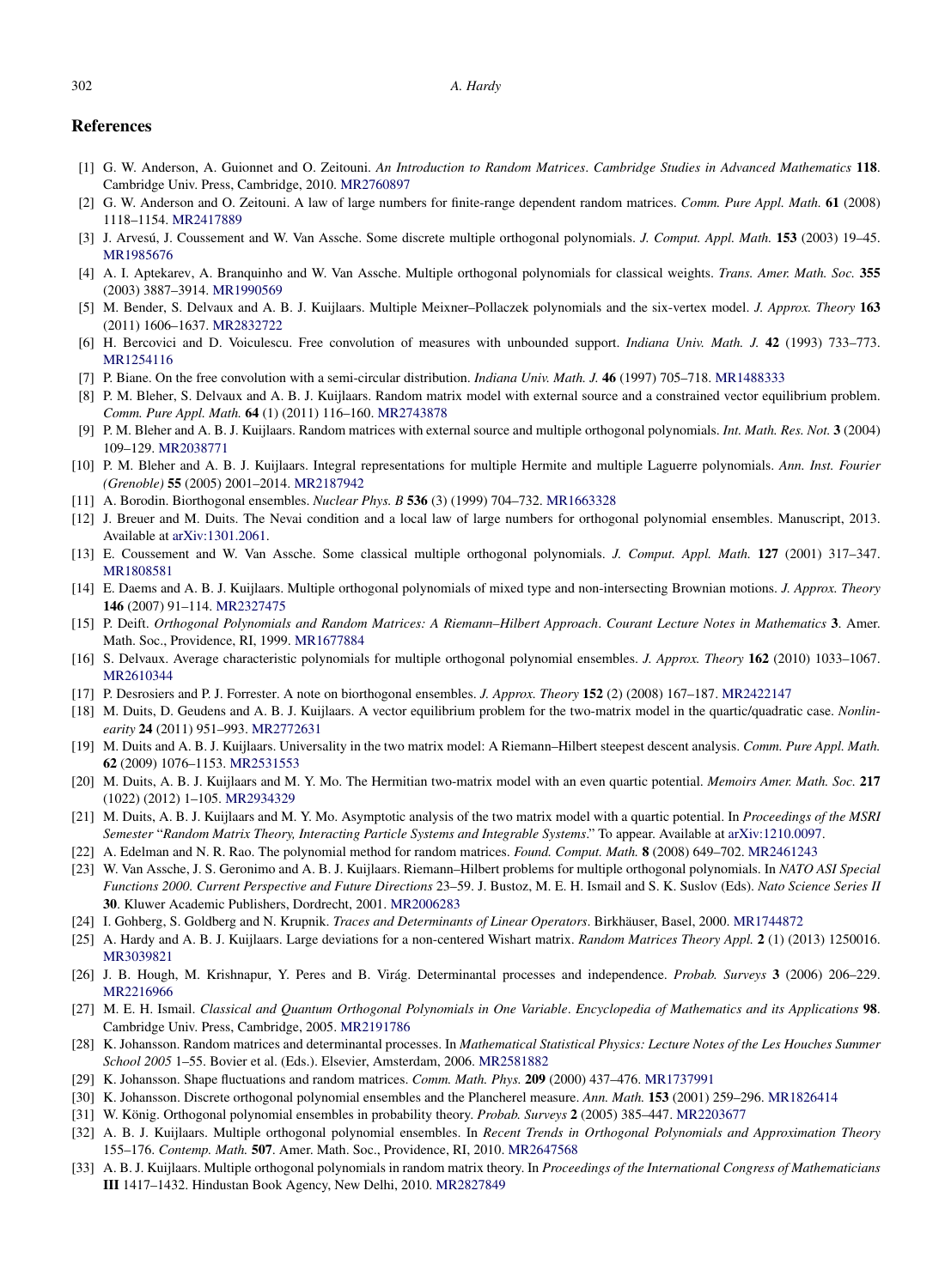#### <span id="page-19-0"></span>**References**

- [1] G. W. Anderson, A. Guionnet and O. Zeitouni. *An Introduction to Random Matrices*. *Cambridge Studies in Advanced Mathematics* **118**. Cambridge Univ. Press, Cambridge, 2010. [MR2760897](http://www.ams.org/mathscinet-getitem?mr=2760897)
- [2] G. W. Anderson and O. Zeitouni. A law of large numbers for finite-range dependent random matrices. *Comm. Pure Appl. Math.* **61** (2008) 1118–1154. [MR2417889](http://www.ams.org/mathscinet-getitem?mr=2417889)
- [3] J. Arvesú, J. Coussement and W. Van Assche. Some discrete multiple orthogonal polynomials. *J. Comput. Appl. Math.* **153** (2003) 19–45. [MR1985676](http://www.ams.org/mathscinet-getitem?mr=1985676)
- [4] A. I. Aptekarev, A. Branquinho and W. Van Assche. Multiple orthogonal polynomials for classical weights. *Trans. Amer. Math. Soc.* **355** (2003) 3887–3914. [MR1990569](http://www.ams.org/mathscinet-getitem?mr=1990569)
- [5] M. Bender, S. Delvaux and A. B. J. Kuijlaars. Multiple Meixner–Pollaczek polynomials and the six-vertex model. *J. Approx. Theory* **163** (2011) 1606–1637. [MR2832722](http://www.ams.org/mathscinet-getitem?mr=2832722)
- [6] H. Bercovici and D. Voiculescu. Free convolution of measures with unbounded support. *Indiana Univ. Math. J.* **42** (1993) 733–773. [MR1254116](http://www.ams.org/mathscinet-getitem?mr=1254116)
- [7] P. Biane. On the free convolution with a semi-circular distribution. *Indiana Univ. Math. J.* **46** (1997) 705–718. [MR1488333](http://www.ams.org/mathscinet-getitem?mr=1488333)
- [8] P. M. Bleher, S. Delvaux and A. B. J. Kuijlaars. Random matrix model with external source and a constrained vector equilibrium problem. *Comm. Pure Appl. Math.* **64** (1) (2011) 116–160. [MR2743878](http://www.ams.org/mathscinet-getitem?mr=2743878)
- [9] P. M. Bleher and A. B. J. Kuijlaars. Random matrices with external source and multiple orthogonal polynomials. *Int. Math. Res. Not.* **3** (2004) 109–129. [MR2038771](http://www.ams.org/mathscinet-getitem?mr=2038771)
- [10] P. M. Bleher and A. B. J. Kuijlaars. Integral representations for multiple Hermite and multiple Laguerre polynomials. *Ann. Inst. Fourier (Grenoble)* **55** (2005) 2001–2014. [MR2187942](http://www.ams.org/mathscinet-getitem?mr=2187942)
- [11] A. Borodin. Biorthogonal ensembles. *Nuclear Phys. B* **536** (3) (1999) 704–732. [MR1663328](http://www.ams.org/mathscinet-getitem?mr=1663328)
- [12] J. Breuer and M. Duits. The Nevai condition and a local law of large numbers for orthogonal polynomial ensembles. Manuscript, 2013. Available at [arXiv:1301.2061](http://arxiv.org/abs/arXiv:1301.2061).
- [13] E. Coussement and W. Van Assche. Some classical multiple orthogonal polynomials. *J. Comput. Appl. Math.* **127** (2001) 317–347. [MR1808581](http://www.ams.org/mathscinet-getitem?mr=1808581)
- [14] E. Daems and A. B. J. Kuijlaars. Multiple orthogonal polynomials of mixed type and non-intersecting Brownian motions. *J. Approx. Theory* **146** (2007) 91–114. [MR2327475](http://www.ams.org/mathscinet-getitem?mr=2327475)
- [15] P. Deift. *Orthogonal Polynomials and Random Matrices: A Riemann–Hilbert Approach*. *Courant Lecture Notes in Mathematics* **3**. Amer. Math. Soc., Providence, RI, 1999. [MR1677884](http://www.ams.org/mathscinet-getitem?mr=1677884)
- [16] S. Delvaux. Average characteristic polynomials for multiple orthogonal polynomial ensembles. *J. Approx. Theory* **162** (2010) 1033–1067. [MR2610344](http://www.ams.org/mathscinet-getitem?mr=2610344)
- [17] P. Desrosiers and P. J. Forrester. A note on biorthogonal ensembles. *J. Approx. Theory* **152** (2) (2008) 167–187. [MR2422147](http://www.ams.org/mathscinet-getitem?mr=2422147)
- [18] M. Duits, D. Geudens and A. B. J. Kuijlaars. A vector equilibrium problem for the two-matrix model in the quartic/quadratic case. *Nonlinearity* **24** (2011) 951–993. [MR2772631](http://www.ams.org/mathscinet-getitem?mr=2772631)
- [19] M. Duits and A. B. J. Kuijlaars. Universality in the two matrix model: A Riemann–Hilbert steepest descent analysis. *Comm. Pure Appl. Math.* **62** (2009) 1076–1153. [MR2531553](http://www.ams.org/mathscinet-getitem?mr=2531553)
- [20] M. Duits, A. B. J. Kuijlaars and M. Y. Mo. The Hermitian two-matrix model with an even quartic potential. *Memoirs Amer. Math. Soc.* **217** (1022) (2012) 1–105. [MR2934329](http://www.ams.org/mathscinet-getitem?mr=2934329)
- [21] M. Duits, A. B. J. Kuijlaars and M. Y. Mo. Asymptotic analysis of the two matrix model with a quartic potential. In *Proceedings of the MSRI Semester* "*Random Matrix Theory, Interacting Particle Systems and Integrable Systems*." To appear. Available at [arXiv:1210.0097.](http://arxiv.org/abs/arXiv:1210.0097)
- [22] A. Edelman and N. R. Rao. The polynomial method for random matrices. *Found. Comput. Math.* **8** (2008) 649–702. [MR2461243](http://www.ams.org/mathscinet-getitem?mr=2461243)
- [23] W. Van Assche, J. S. Geronimo and A. B. J. Kuijlaars. Riemann–Hilbert problems for multiple orthogonal polynomials. In *NATO ASI Special Functions 2000. Current Perspective and Future Directions* 23–59. J. Bustoz, M. E. H. Ismail and S. K. Suslov (Eds). *Nato Science Series II* **30**. Kluwer Academic Publishers, Dordrecht, 2001. [MR2006283](http://www.ams.org/mathscinet-getitem?mr=2006283)
- [24] I. Gohberg, S. Goldberg and N. Krupnik. *Traces and Determinants of Linear Operators*. Birkhäuser, Basel, 2000. [MR1744872](http://www.ams.org/mathscinet-getitem?mr=1744872)
- [25] A. Hardy and A. B. J. Kuijlaars. Large deviations for a non-centered Wishart matrix. *Random Matrices Theory Appl.* **2** (1) (2013) 1250016. [MR3039821](http://www.ams.org/mathscinet-getitem?mr=3039821)
- [26] J. B. Hough, M. Krishnapur, Y. Peres and B. Virág. Determinantal processes and independence. *Probab. Surveys* **3** (2006) 206–229. [MR2216966](http://www.ams.org/mathscinet-getitem?mr=2216966)
- [27] M. E. H. Ismail. *Classical and Quantum Orthogonal Polynomials in One Variable. Encyclopedia of Mathematics and its Applications* 98. Cambridge Univ. Press, Cambridge, 2005. [MR2191786](http://www.ams.org/mathscinet-getitem?mr=2191786)
- [28] K. Johansson. Random matrices and determinantal processes. In *Mathematical Statistical Physics: Lecture Notes of the Les Houches Summer School 2005* 1–55. Bovier et al. (Eds.). Elsevier, Amsterdam, 2006. [MR2581882](http://www.ams.org/mathscinet-getitem?mr=2581882)
- [29] K. Johansson. Shape fluctuations and random matrices. *Comm. Math. Phys.* **209** (2000) 437–476. [MR1737991](http://www.ams.org/mathscinet-getitem?mr=1737991)
- [30] K. Johansson. Discrete orthogonal polynomial ensembles and the Plancherel measure. *Ann. Math.* **153** (2001) 259–296. [MR1826414](http://www.ams.org/mathscinet-getitem?mr=1826414)
- [31] W. König. Orthogonal polynomial ensembles in probability theory. *Probab. Surveys* **2** (2005) 385–447. [MR2203677](http://www.ams.org/mathscinet-getitem?mr=2203677)
- [32] A. B. J. Kuijlaars. Multiple orthogonal polynomial ensembles. In *Recent Trends in Orthogonal Polynomials and Approximation Theory* 155–176. *Contemp. Math.* **507**. Amer. Math. Soc., Providence, RI, 2010. [MR2647568](http://www.ams.org/mathscinet-getitem?mr=2647568)
- [33] A. B. J. Kuijlaars. Multiple orthogonal polynomials in random matrix theory. In *Proceedings of the International Congress of Mathematicians* **III** 1417–1432. Hindustan Book Agency, New Delhi, 2010. [MR2827849](http://www.ams.org/mathscinet-getitem?mr=2827849)